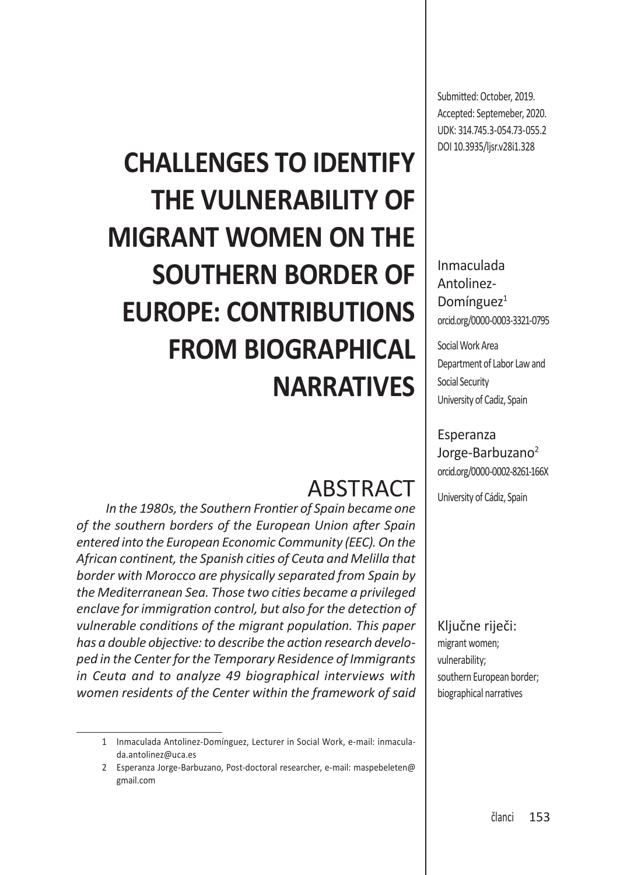# **CHALLENGES TO IDENTIFY THE VULNERABILITY OF MIGRANT WOMEN ON THE SOUTHERN BORDER OF EUROPE: CONTRIBUTIONS FROM BIOGRAPHICAL NARRATIVES**

# **ABSTRACT**

I. Antolinez-Domínguez, E. Jorge-Barbuzano: Challenges to identify the vulnerability of migrant women on the...

*In the 1980s, the Southern Frontier of Spain became one of the southern borders of the European Union after Spain entered into the European Economic Community (EEC). On the African continent, the Spanish cities of Ceuta and Melilla that border with Morocco are physically separated from Spain by the Mediterranean Sea. Those two cities became a privileged enclave for immigration control, but also for the detection of vulnerable conditions of the migrant population. This paper has a double objective: to describe the action research developed in the Center for the Temporary Residence of Immigrants in Ceuta and to analyze 49 biographical interviews with women residents of the Center within the framework of said* 

Submitted: October, 2019. Accepted: Septemeber, 2020. UDK: 314.745.3-054.73-055.2 DOI 10.3935/ljsr.v28i1.328

Inmaculada Antolinez-Domíngue $z<sup>1</sup>$ [orcid.org/0000-0003-3321-0795](file:///C:\Users\Admin\Downloads\orcid.org\0000-0003-3321-0795)

Social Work Area Department of Labor Law and Social Security University of Cadiz, Spain

Esperanza Jorge-Barbuzano2 [orcid.org/0000-0002-8261-166X](file:///C:\Users\Admin\Downloads\orcid.org\0000-0002-8261-166X)

University of Cádiz, Spain

Ključne riječi: migrant women; vulnerability; southern European border; biographical narratives

<sup>1</sup> Inmaculada Antolinez-Domínguez, Lecturer in Social Work, e-mail: inmaculada.antolinez@uca.es

<sup>2</sup> Esperanza Jorge-Barbuzano, Post-doctoral researcher, e-mail: maspebeleten@ gmail.com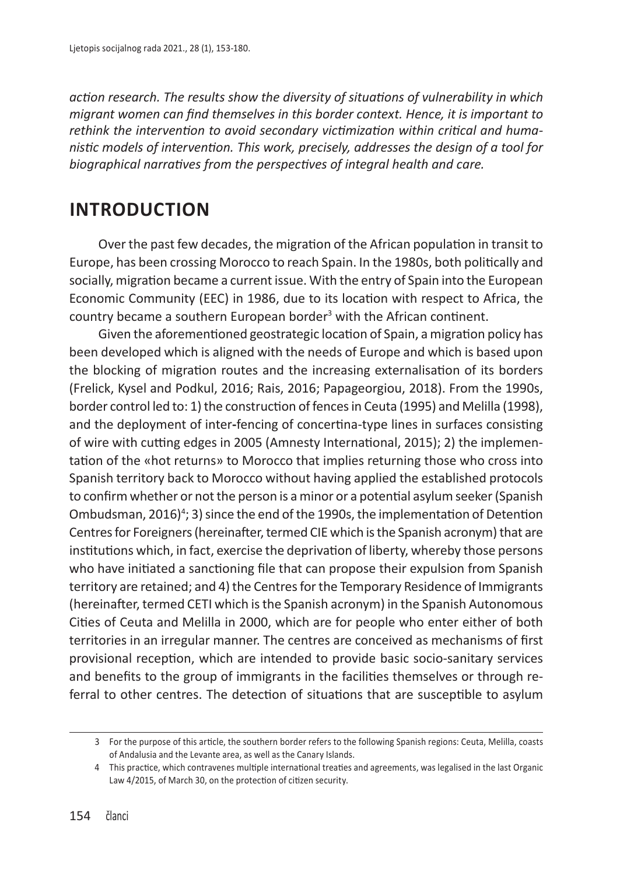*action research. The results show the diversity of situations of vulnerability in which migrant women can find themselves in this border context. Hence, it is important to rethink the intervention to avoid secondary victimization within critical and humanistic models of intervention. This work, precisely, addresses the design of a tool for biographical narratives from the perspectives of integral health and care.* 

#### **INTRODUCTION**

Over the past few decades, the migration of the African population in transit to Europe, has been crossing Morocco to reach Spain. In the 1980s, both politically and socially, migration became a current issue. With the entry of Spain into the European Economic Community (EEC) in 1986, due to its location with respect to Africa, the country became a southern European border<sup>3</sup> with the African continent.

Given the aforementioned geostrategic location of Spain, a migration policy has been developed which is aligned with the needs of Europe and which is based upon the blocking of migration routes and the increasing externalisation of its borders (Frelick, Kysel and Podkul, 2016; Rais, 2016; Papageorgiou, 2018). From the 1990s, border control led to: 1) the construction of fences in Ceuta (1995) and Melilla (1998), and the deployment of inter**-**fencing of concertina-type lines in surfaces consisting of wire with cutting edges in 2005 (Amnesty International, 2015); 2) the implementation of the «hot returns» to Morocco that implies returning those who cross into Spanish territory back to Morocco without having applied the established protocols to confirm whether or not the person is a minor or a potential asylum seeker (Spanish Ombudsman, 2016)<sup>4</sup>; 3) since the end of the 1990s, the implementation of Detention Centres for Foreigners (hereinafter, termed CIE which is the Spanish acronym) that are institutions which, in fact, exercise the deprivation of liberty, whereby those persons who have initiated a sanctioning file that can propose their expulsion from Spanish territory are retained; and 4) the Centres for the Temporary Residence of Immigrants (hereinafter, termed CETI which isthe Spanish acronym) in the Spanish Autonomous Cities of Ceuta and Melilla in 2000, which are for people who enter either of both territories in an irregular manner. The centres are conceived as mechanisms of first provisional reception, which are intended to provide basic socio-sanitary services and benefits to the group of immigrants in the facilities themselves or through referral to other centres. The detection of situations that are susceptible to asylum

<sup>3</sup> For the purpose of this article, the southern border refers to the following Spanish regions: Ceuta, Melilla, coasts of Andalusia and the Levante area, as well as the Canary Islands.

<sup>4</sup> This practice, which contravenes multiple international treaties and agreements, was legalised in the last Organic Law 4/2015, of March 30, on the protection of citizen security.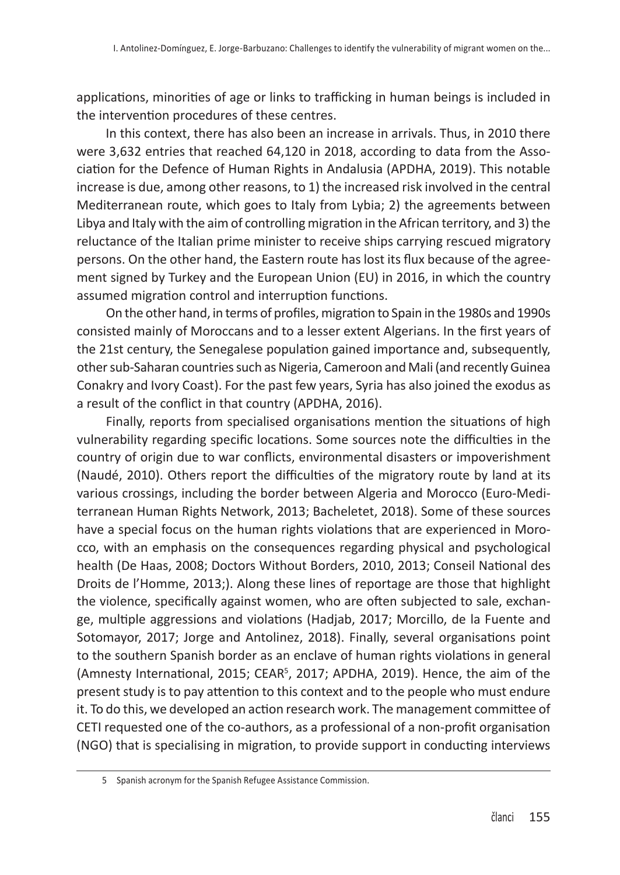applications, minorities of age or links to trafficking in human beings is included in the intervention procedures of these centres.

In this context, there has also been an increase in arrivals. Thus, in 2010 there were 3,632 entries that reached 64,120 in 2018, according to data from the Association for the Defence of Human Rights in Andalusia (APDHA, 2019). This notable increase is due, among other reasons, to 1) the increased risk involved in the central Mediterranean route, which goes to Italy from Lybia; 2) the agreements between Libya and Italy with the aim of controlling migration in the African territory, and 3) the reluctance of the Italian prime minister to receive ships carrying rescued migratory persons. On the other hand, the Eastern route has lost its flux because of the agreement signed by Turkey and the European Union (EU) in 2016, in which the country assumed migration control and interruption functions.

On the other hand, in terms of profiles, migration to Spain in the 1980s and 1990s consisted mainly of Moroccans and to a lesser extent Algerians. In the first years of the 21st century, the Senegalese population gained importance and, subsequently, othersub-Saharan countriessuch asNigeria, Cameroon and Mali(and recentlyGuinea Conakry and Ivory Coast). For the past few years, Syria has also joined the exodus as a result of the conflict in that country (APDHA, 2016).

Finally, reports from specialised organisations mention the situations of high vulnerability regarding specific locations. Some sources note the difficulties in the country of origin due to war conflicts, environmental disasters or impoverishment (Naudé, 2010). Others report the difficulties of the migratory route by land at its various crossings, including the border between Algeria and Morocco (Euro-Mediterranean Human Rights Network, 2013; Bacheletet, 2018). Some of these sources have a special focus on the human rights violations that are experienced in Morocco, with an emphasis on the consequences regarding physical and psychological health (De Haas, 2008; Doctors Without Borders, 2010, 2013; Conseil National des Droits de l'Homme, 2013;). Along these lines of reportage are those that highlight the violence, specifically against women, who are often subjected to sale, exchange, multiple aggressions and violations (Hadjab, 2017; Morcillo, de la Fuente and Sotomayor, 2017; Jorge and Antolinez, 2018). Finally, several organisations point to the southern Spanish border as an enclave of human rights violations in general (Amnesty International, 2015; CEAR<sup>5</sup>, 2017; APDHA, 2019). Hence, the aim of the present study is to pay attention to this context and to the people who must endure it. To do this, we developed an action research work. The management committee of CETI requested one of the co-authors, as a professional of a non-profit organisation (NGO) that is specialising in migration, to provide support in conducting interviews

<sup>5</sup> Spanish acronym for the Spanish Refugee Assistance Commission.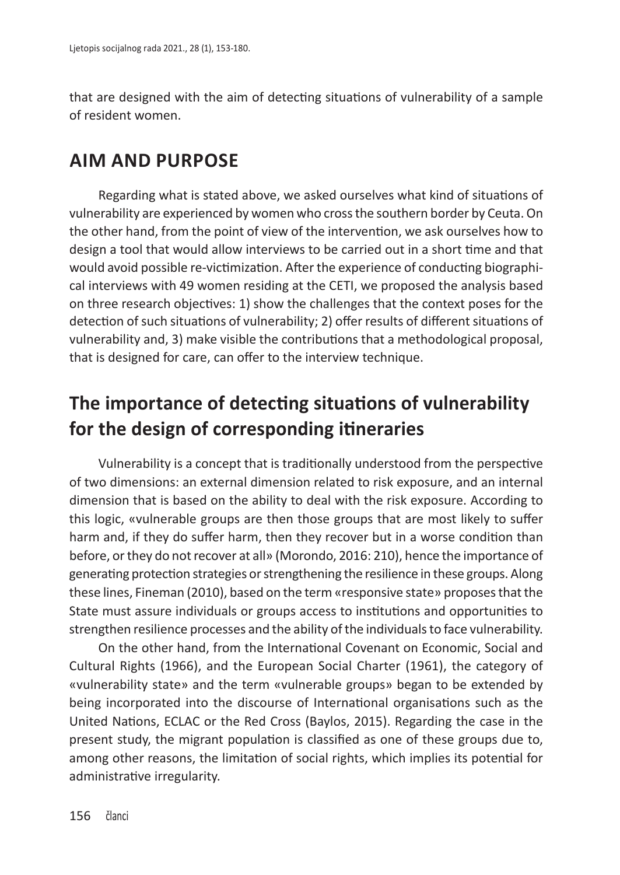that are designed with the aim of detecting situations of vulnerability of a sample of resident women.

#### **AIM AND PURPOSE**

Regarding what is stated above, we asked ourselves what kind of situations of vulnerability are experienced by women who crossthe southern border by Ceuta.On the other hand, from the point of view of the intervention, we ask ourselves how to design a tool that would allow interviews to be carried out in a short time and that would avoid possible re-victimization. After the experience of conducting biographical interviews with 49 women residing at the CETI, we proposed the analysis based on three research objectives: 1) show the challenges that the context poses for the detection of such situations of vulnerability; 2) offer results of different situations of vulnerability and, 3) make visible the contributions that a methodological proposal, that is designed for care, can offer to the interview technique.

# **The importance of detecting situations of vulnerability for the design of corresponding itineraries**

Vulnerability is a concept that is traditionally understood from the perspective of two dimensions: an external dimension related to risk exposure, and an internal dimension that is based on the ability to deal with the risk exposure. According to this logic, «vulnerable groups are then those groups that are most likely to suffer harm and, if they do suffer harm, then they recover but in a worse condition than before, or they do not recover at all» (Morondo, 2016: 210), hence the importance of generating protection strategies orstrengthening the resilience in these groups. Along these lines, Fineman (2010), based on the term «responsive state» proposes that the State must assure individuals or groups access to institutions and opportunities to strengthen resilience processes and the ability of the individuals to face vulnerability.

On the other hand, from the International Covenant on Economic, Social and Cultural Rights (1966), and the European Social Charter (1961), the category of «vulnerability state» and the term «vulnerable groups» began to be extended by being incorporated into the discourse of International organisations such as the United Nations, ECLAC or the Red Cross (Baylos, 2015). Regarding the case in the present study, the migrant population is classified as one of these groups due to, among other reasons, the limitation of social rights, which implies its potential for administrative irregularity.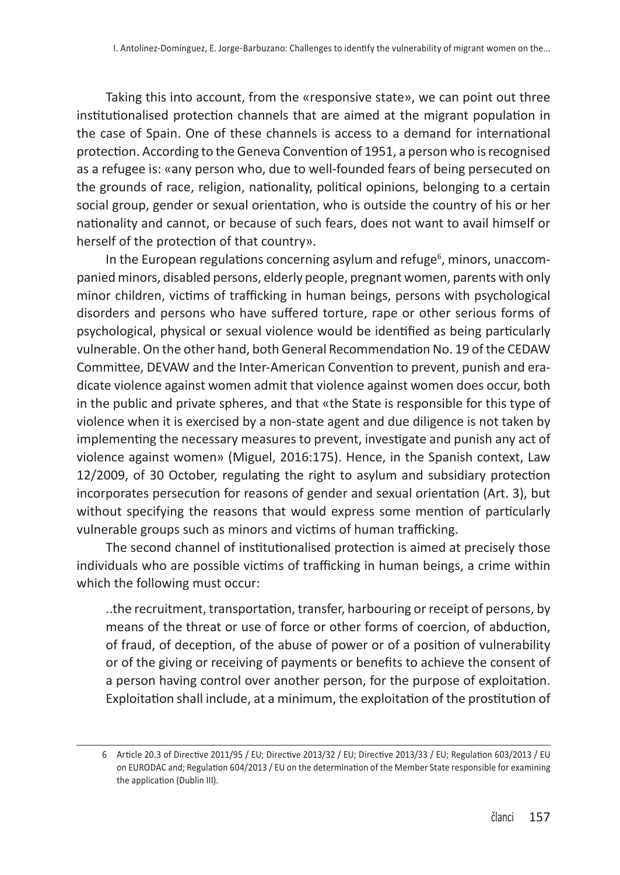Taking this into account, from the «responsive state», we can point out three institutionalised protection channels that are aimed at the migrant population in the case of Spain. One of these channels is access to a demand for international protection. According to the Geneva Convention of 1951, a person who isrecognised as a refugee is: «any person who, due to well-founded fears of being persecuted on the grounds of race, religion, nationality, political opinions, belonging to a certain social group, gender or sexual orientation, who is outside the country of his or her nationality and cannot, or because of such fears, does not want to avail himself or herself of the protection of that country».

In the European regulations concerning asylum and refuge<sup>6</sup>, minors, unaccompanied minors, disabled persons, elderly people, pregnant women, parents with only minor children, victims of trafficking in human beings, persons with psychological disorders and persons who have suffered torture, rape or other serious forms of psychological, physical or sexual violence would be identified as being particularly vulnerable. On the other hand, both General Recommendation No. 19 ofthe CEDAW Committee, DEVAW and the Inter-American Convention to prevent, punish and eradicate violence against women admit that violence against women does occur, both in the public and private spheres, and that «the State is responsible for this type of violence when it is exercised by a non-state agent and due diligence is not taken by implementing the necessary measures to prevent, investigate and punish any act of violence against women» (Miguel, 2016:175). Hence, in the Spanish context, Law 12/2009, of 30 October, regulating the right to asylum and subsidiary protection incorporates persecution for reasons of gender and sexual orientation (Art. 3), but without specifying the reasons that would express some mention of particularly vulnerable groups such as minors and victims of human trafficking.

The second channel of institutionalised protection is aimed at precisely those individuals who are possible victims of trafficking in human beings, a crime within which the following must occur:

..the recruitment, transportation, transfer, harbouring or receipt of persons, by means of the threat or use of force or other forms of coercion, of abduction, of fraud, of deception, of the abuse of power or of a position of vulnerability or of the giving or receiving of payments or benefits to achieve the consent of a person having control over another person, for the purpose of exploitation. Exploitation shall include, at a minimum, the exploitation of the prostitution of

<sup>6</sup> Article 20.3 of Directive 2011/95 / EU; Directive 2013/32 / EU; Directive 2013/33 / EU; Regulation 603/2013 / EU on EURODAC and; Regulation 604/2013 / EU on the determination of the Member State responsible for examining the application (Dublin III).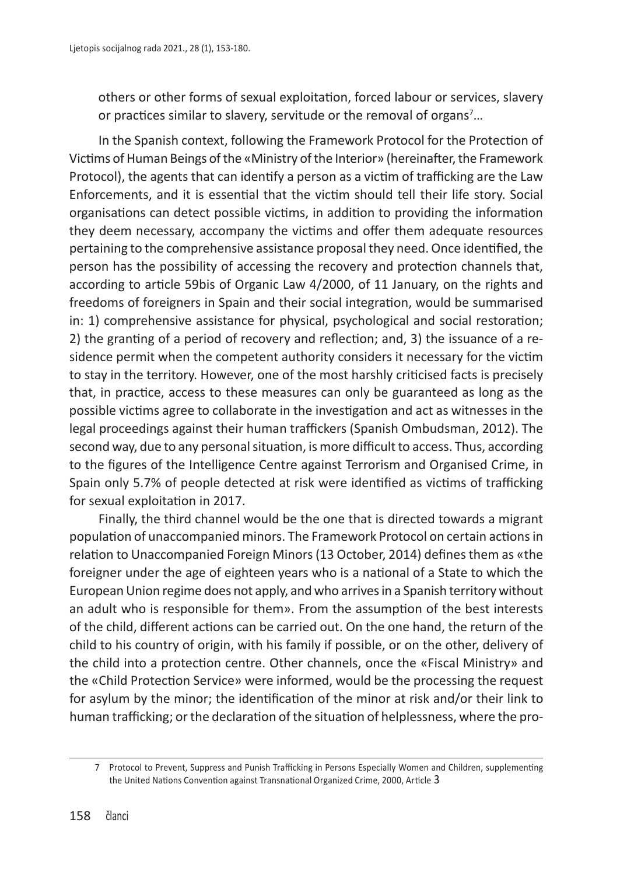others or other forms of sexual exploitation, forced labour or services, slavery or practices similar to slavery, servitude or the removal of organs<sup>7</sup>...

In the Spanish context, following the Framework Protocol for the Protection of Victims of Human Beings of the «Ministry of the Interior» (hereinafter, the Framework Protocol), the agents that can identify a person as a victim of trafficking are the Law Enforcements, and it is essential that the victim should tell their life story. Social organisations can detect possible victims, in addition to providing the information they deem necessary, accompany the victims and offer them adequate resources pertaining to the comprehensive assistance proposal they need. Once identified, the person has the possibility of accessing the recovery and protection channels that, according to article 59bis of Organic Law 4/2000, of 11 January, on the rights and freedoms of foreigners in Spain and their social integration, would be summarised in: 1) comprehensive assistance for physical, psychological and social restoration; 2) the granting of a period of recovery and reflection; and, 3) the issuance of a residence permit when the competent authority considers it necessary for the victim to stay in the territory. However, one of the most harshly criticised facts is precisely that, in practice, access to these measures can only be guaranteed as long as the possible victims agree to collaborate in the investigation and act as witnesses in the legal proceedings against their human traffickers (Spanish Ombudsman, 2012). The second way, due to any personal situation, is more difficult to access. Thus, according to the figures of the Intelligence Centre against Terrorism and Organised Crime, in Spain only 5.7% of people detected at risk were identified as victims of trafficking for sexual exploitation in 2017.

Finally, the third channel would be the one that is directed towards a migrant population of unaccompanied minors. The Framework Protocol on certain actionsin relation to Unaccompanied Foreign Minors(13 October, 2014) definesthem as «the foreigner under the age of eighteen years who is a national of a State to which the EuropeanUnion regime does not apply, and who arrivesin a Spanish territory without an adult who is responsible for them». From the assumption of the best interests of the child, different actions can be carried out. On the one hand, the return of the child to his country of origin, with his family if possible, or on the other, delivery of the child into a protection centre. Other channels, once the «Fiscal Ministry» and the «Child Protection Service» were informed, would be the processing the request for asylum by the minor; the identification of the minor at risk and/or their link to human trafficking; or the declaration of the situation of helplessness, where the pro-

<sup>7</sup> Protocol to Prevent, Suppress and Punish Trafficking in Persons Especially Women and Children, supplementing the United Nations Convention against Transnational Organized Crime, 2000, Article 3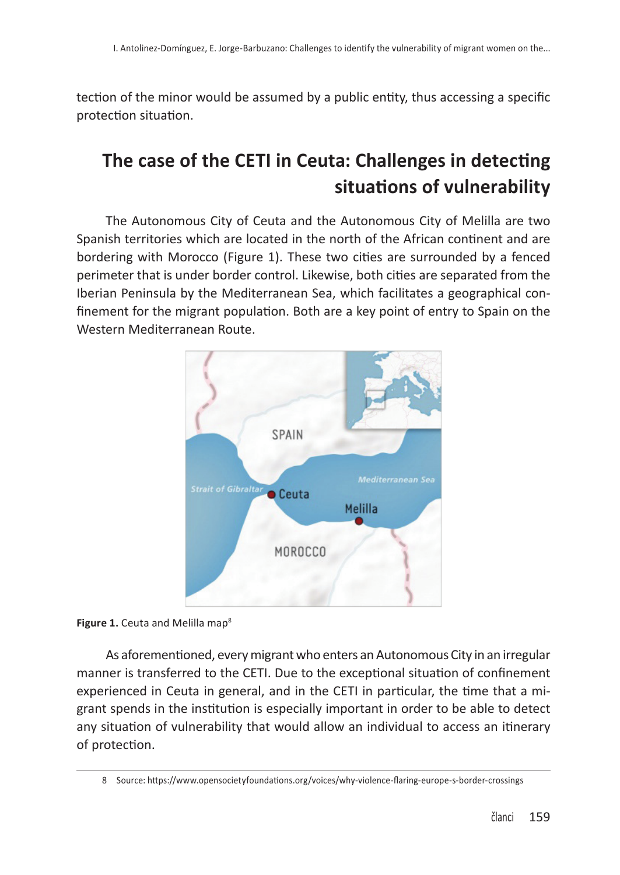tection of the minor would be assumed by a public entity, thus accessing a specific protection situation.

# **The case of the CETI in Ceuta: Challenges in detecting situations of vulnerability**

The Autonomous City of Ceuta and the Autonomous City of Melilla are two Spanish territories which are located in the north of the African continent and are bordering with Morocco (Figure 1). These two cities are surrounded by a fenced perimeter that is under border control. Likewise, both cities are separated from the Iberian Peninsula by the Mediterranean Sea, which facilitates a geographical confinement for the migrant population. Both are a key point of entry to Spain on the Western Mediterranean Route.



Figure 1. Ceuta and Melilla map<sup>8</sup>

As aforementioned, every migrant who enters an Autonomous City in an irregular manner is transferred to the CETI. Due to the exceptional situation of confinement experienced in Ceuta in general, and in the CETI in particular, the time that a migrant spends in the institution is especially important in order to be able to detect any situation of vulnerability that would allow an individual to access an itinerary of protection.

<sup>8</sup> Source: https://www.opensocietyfoundations.org/voices/why-violence-flaring-europe-s-border-crossings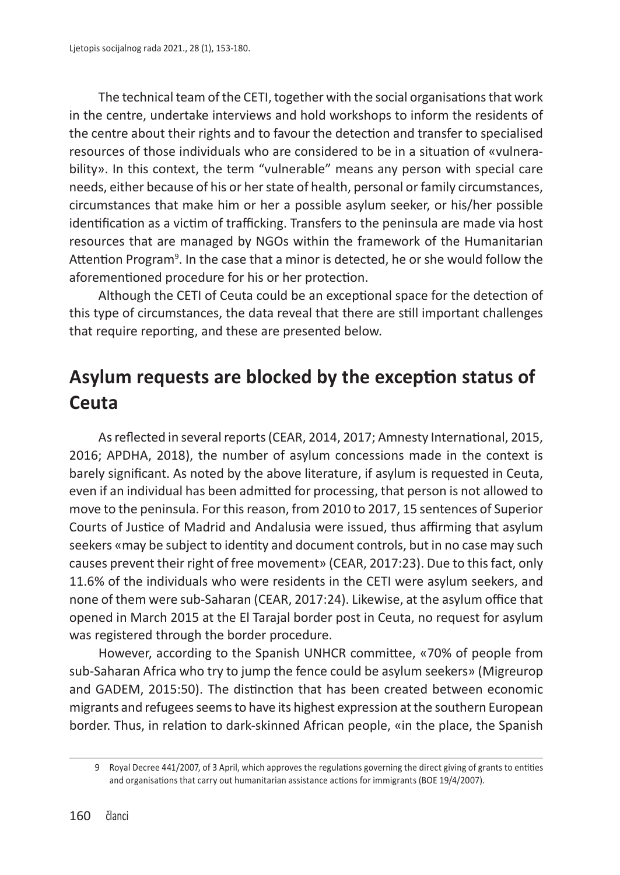The technical team of the CETI, together with the social organisations that work in the centre, undertake interviews and hold workshops to inform the residents of the centre about their rights and to favour the detection and transfer to specialised resources of those individuals who are considered to be in a situation of «vulnerability». In this context, the term "vulnerable" means any person with special care needs, either because of his or her state of health, personal or family circumstances, circumstances that make him or her a possible asylum seeker, or his/her possible identification as a victim of trafficking. Transfers to the peninsula are made via host resources that are managed by NGOs within the framework of the Humanitarian Attention Program<sup>9</sup>. In the case that a minor is detected, he or she would follow the aforementioned procedure for his or her protection.

Although the CETI of Ceuta could be an exceptional space for the detection of this type of circumstances, the data reveal that there are still important challenges that require reporting, and these are presented below.

### **Asylum requests are blocked by the exception status of Ceuta**

As reflected in several reports (CEAR, 2014, 2017; Amnesty International, 2015, 2016; APDHA, 2018), the number of asylum concessions made in the context is barely significant. As noted by the above literature, if asylum is requested in Ceuta, even if an individual has been admitted for processing, that person is not allowed to move to the peninsula. For thisreason, from 2010 to 2017, 15 sentences of Superior Courts of Justice of Madrid and Andalusia were issued, thus affirming that asylum seekers «may be subject to identity and document controls, but in no case may such causes prevent their right of free movement» (CEAR, 2017:23). Due to thisfact, only 11.6% of the individuals who were residents in the CETI were asylum seekers, and none of them were sub-Saharan (CEAR, 2017:24). Likewise, at the asylum office that opened in March 2015 at the El Tarajal border post in Ceuta, no request for asylum was registered through the border procedure.

However, according to the Spanish UNHCR committee, «70% of people from sub-Saharan Africa who try to jump the fence could be asylum seekers» (Migreurop and GADEM, 2015:50). The distinction that has been created between economic migrants and refugees seems to have its highest expression at the southern European border. Thus, in relation to dark-skinned African people, «in the place, the Spanish

<sup>9</sup> Royal Decree 441/2007, of 3 April, which approves the regulations governing the direct giving of grants to entities and organisations that carry out humanitarian assistance actions for immigrants (BOE 19/4/2007).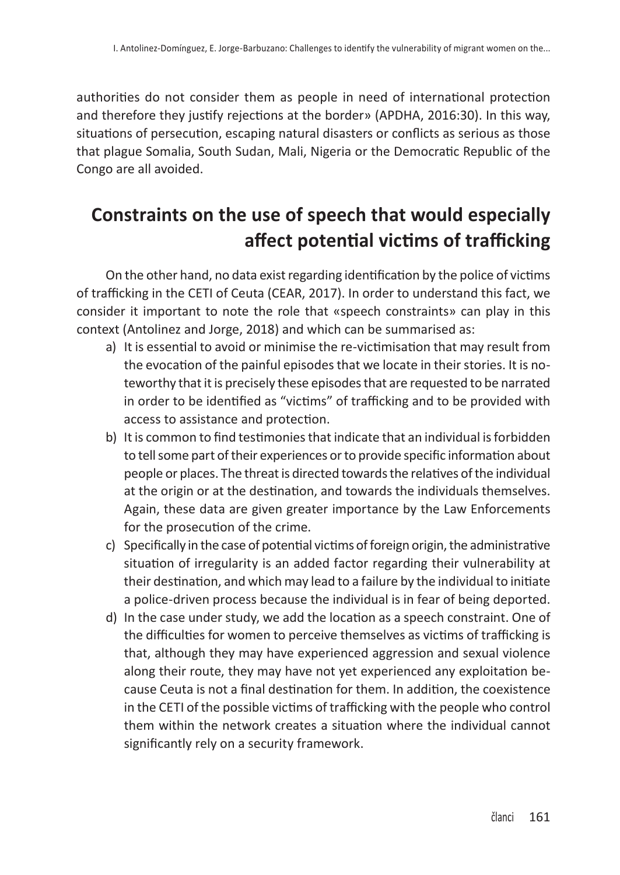authorities do not consider them as people in need of international protection and therefore they justify rejections at the border» (APDHA, 2016:30). In this way, situations of persecution, escaping natural disasters or conflicts as serious as those that plague Somalia, South Sudan, Mali, Nigeria or the Democratic Republic of the Congo are all avoided.

# **Constraints on the use of speech that would especially affect potential victims of trafficking**

On the other hand, no data exist regarding identification by the police of victims of trafficking in the CETI of Ceuta (CEAR, 2017). In order to understand this fact, we consider it important to note the role that «speech constraints» can play in this context (Antolinez and Jorge, 2018) and which can be summarised as:

- a) It is essential to avoid or minimise the re-victimisation that may result from the evocation of the painful episodes that we locate in their stories. It is noteworthy that it is precisely these episodes that are requested to be narrated in order to be identified as "victims" of trafficking and to be provided with access to assistance and protection.
- b) It is common to find testimonies that indicate that an individual is forbidden to tell some part of their experiences or to provide specific information about people or places. The threat is directed towards the relatives of the individual at the origin or at the destination, and towards the individuals themselves. Again, these data are given greater importance by the Law Enforcements for the prosecution of the crime.
- c) Specifically in the case of potential victims of foreign origin, the administrative situation of irregularity is an added factor regarding their vulnerability at their destination, and which may lead to a failure by the individual to initiate a police-driven process because the individual is in fear of being deported.
- d) In the case under study, we add the location as a speech constraint. One of the difficulties for women to perceive themselves as victims of trafficking is that, although they may have experienced aggression and sexual violence along their route, they may have not yet experienced any exploitation because Ceuta is not a final destination for them. In addition, the coexistence in the CETI of the possible victims of trafficking with the people who control them within the network creates a situation where the individual cannot significantly rely on a security framework.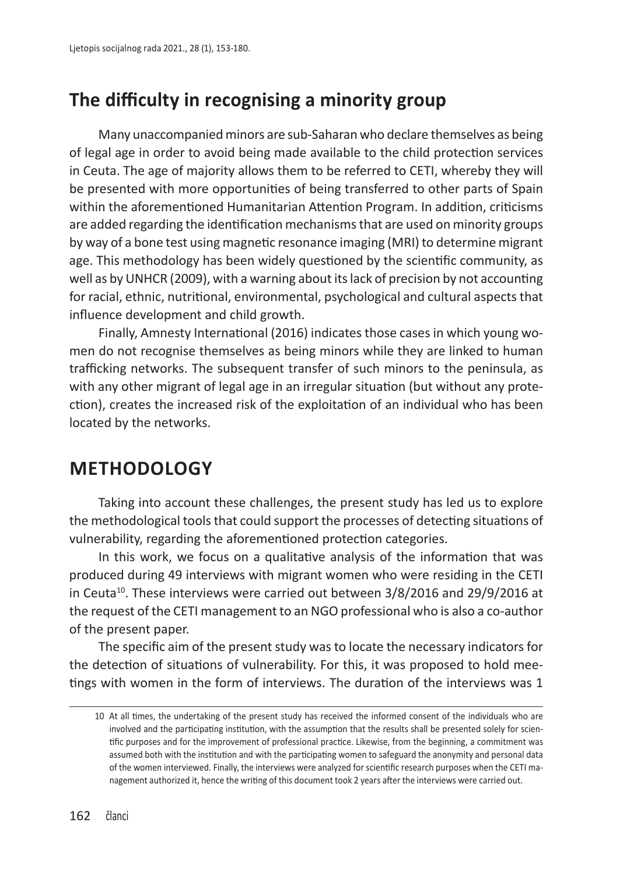### **The difficulty in recognising a minority group**

Many unaccompanied minors are sub-Saharan who declare themselves as being of legal age in order to avoid being made available to the child protection services in Ceuta. The age of majority allows them to be referred to CETI, whereby they will be presented with more opportunities of being transferred to other parts of Spain within the aforementioned Humanitarian Attention Program. In addition, criticisms are added regarding the identification mechanismsthat are used on minority groups by way of a bone test using magnetic resonance imaging (MRI) to determine migrant age. This methodology has been widely questioned by the scientific community, as well as by UNHCR (2009), with a warning about its lack of precision by not accounting for racial, ethnic, nutritional, environmental, psychological and cultural aspects that influence development and child growth.

Finally, Amnesty International (2016) indicates those cases in which young women do not recognise themselves as being minors while they are linked to human trafficking networks. The subsequent transfer of such minors to the peninsula, as with any other migrant of legal age in an irregular situation (but without any protection), creates the increased risk of the exploitation of an individual who has been located by the networks.

## **METHODOLOGY**

Taking into account these challenges, the present study has led us to explore the methodological tools that could support the processes of detecting situations of vulnerability, regarding the aforementioned protection categories.

In this work, we focus on a qualitative analysis of the information that was produced during 49 interviews with migrant women who were residing in the CETI in Ceuta<sup>10</sup>. These interviews were carried out between 3/8/2016 and 29/9/2016 at the request of the CETI management to an NGO professional who is also a co-author of the present paper.

The specific aim of the present study was to locate the necessary indicators for the detection of situations of vulnerability. For this, it was proposed to hold meetings with women in the form of interviews. The duration of the interviews was 1

<sup>10</sup> At all times, the undertaking of the present study has received the informed consent of the individuals who are involved and the participating institution, with the assumption that the results shall be presented solely for scientific purposes and for the improvement of professional practice. Likewise, from the beginning, a commitment was assumed both with the institution and with the participating women to safeguard the anonymity and personal data of the women interviewed. Finally, the interviews were analyzed for scientific research purposes when the CETI management authorized it, hence the writing of this document took 2 years after the interviews were carried out.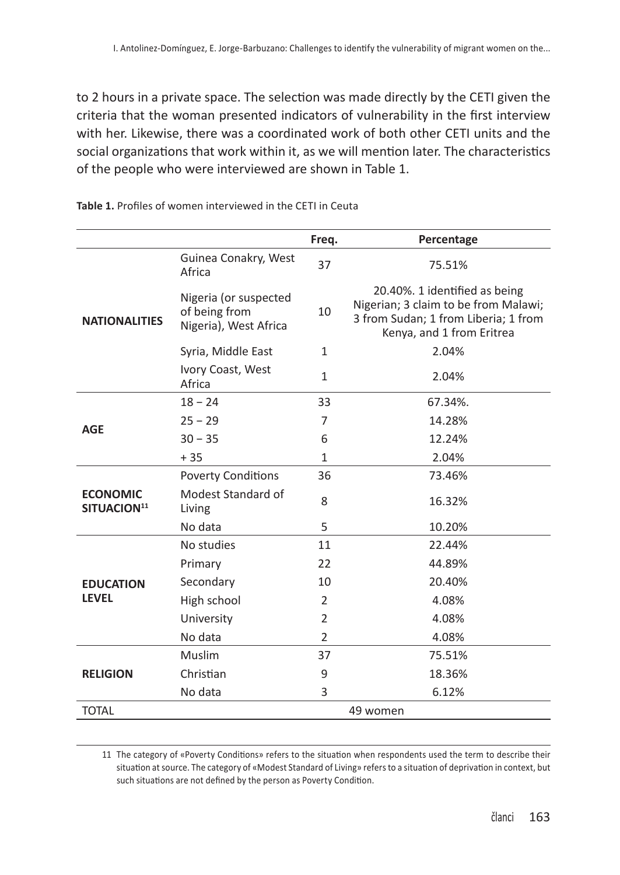to 2 hours in a private space. The selection was made directly by the CETI given the criteria that the woman presented indicators of vulnerability in the first interview with her. Likewise, there was a coordinated work of both other CETI units and the social organizations that work within it, as we will mention later. The characteristics of the people who were interviewed are shown in Table 1.

|                                            |                                                                 | Freq.          | Percentage                                                                                                                                 |  |
|--------------------------------------------|-----------------------------------------------------------------|----------------|--------------------------------------------------------------------------------------------------------------------------------------------|--|
| <b>NATIONALITIES</b>                       | Guinea Conakry, West<br>Africa                                  | 37             | 75.51%                                                                                                                                     |  |
|                                            | Nigeria (or suspected<br>of being from<br>Nigeria), West Africa | 10             | 20.40%. 1 identified as being<br>Nigerian; 3 claim to be from Malawi;<br>3 from Sudan; 1 from Liberia; 1 from<br>Kenya, and 1 from Eritrea |  |
|                                            | Syria, Middle East                                              | $\mathbf{1}$   | 2.04%                                                                                                                                      |  |
|                                            | Ivory Coast, West<br>Africa                                     | 1              | 2.04%                                                                                                                                      |  |
|                                            | $18 - 24$                                                       | 33             | 67.34%.                                                                                                                                    |  |
|                                            | $25 - 29$                                                       | 7              | 14.28%                                                                                                                                     |  |
| <b>AGE</b>                                 | $30 - 35$                                                       | 6              | 12.24%                                                                                                                                     |  |
|                                            | $+35$                                                           | $\mathbf{1}$   | 2.04%                                                                                                                                      |  |
| <b>ECONOMIC</b><br>SITUACION <sup>11</sup> | <b>Poverty Conditions</b>                                       | 36             | 73.46%                                                                                                                                     |  |
|                                            | Modest Standard of<br>Living                                    | 8              | 16.32%                                                                                                                                     |  |
|                                            | No data                                                         | 5              | 10.20%                                                                                                                                     |  |
| <b>EDUCATION</b><br><b>LEVEL</b>           | No studies                                                      | 11             | 22.44%                                                                                                                                     |  |
|                                            | Primary                                                         | 22             | 44.89%                                                                                                                                     |  |
|                                            | Secondary                                                       | 10             | 20.40%                                                                                                                                     |  |
|                                            | High school                                                     | 2              | 4.08%                                                                                                                                      |  |
|                                            | University                                                      | 2              | 4.08%                                                                                                                                      |  |
|                                            | No data                                                         | $\overline{2}$ | 4.08%                                                                                                                                      |  |
| <b>RELIGION</b>                            | Muslim                                                          | 37             | 75.51%                                                                                                                                     |  |
|                                            | Christian                                                       | 9              | 18.36%                                                                                                                                     |  |
|                                            | No data                                                         | 3              | 6.12%                                                                                                                                      |  |
| <b>TOTAL</b>                               |                                                                 | 49 women       |                                                                                                                                            |  |

**Table 1.** Profiles of women interviewed in the CETI in Ceuta

11 The category of «Poverty Conditions» refers to the situation when respondents used the term to describe their situation at source. The category of «Modest Standard of Living» refers to a situation of deprivation in context, but such situations are not defined by the person as Poverty Condition.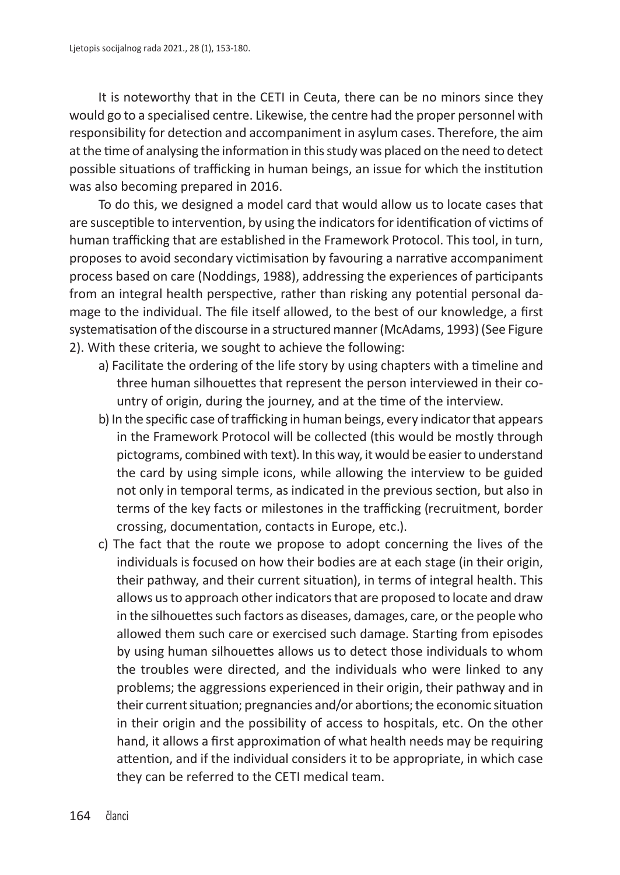It is noteworthy that in the CETI in Ceuta, there can be no minors since they would go to a specialised centre. Likewise, the centre had the proper personnel with responsibility for detection and accompaniment in asylum cases. Therefore, the aim atthe time of analysing the information in thisstudy was placed on the need to detect possible situations of trafficking in human beings, an issue for which the institution was also becoming prepared in 2016.

To do this, we designed a model card that would allow us to locate cases that are susceptible to intervention, by using the indicators for identification of victims of human trafficking that are established in the Framework Protocol. This tool, in turn, proposes to avoid secondary victimisation by favouring a narrative accompaniment process based on care (Noddings, 1988), addressing the experiences of participants from an integral health perspective, rather than risking any potential personal damage to the individual. The file itself allowed, to the best of our knowledge, a first systematisation of the discourse in a structured manner (McAdams, 1993) (See Figure 2). With these criteria, we sought to achieve the following:

- a) Facilitate the ordering of the life story by using chapters with a timeline and three human silhouettes that represent the person interviewed in their country of origin, during the journey, and at the time of the interview.
- b) In the specific case of trafficking in human beings, every indicator that appears in the Framework Protocol will be collected (this would be mostly through pictograms, combined with text). In this way, it would be easierto understand the card by using simple icons, while allowing the interview to be guided not only in temporal terms, as indicated in the previous section, but also in terms of the key facts or milestones in the trafficking (recruitment, border crossing, documentation, contacts in Europe, etc.).
- c) The fact that the route we propose to adopt concerning the lives of the individuals is focused on how their bodies are at each stage (in their origin, their pathway, and their current situation), in terms of integral health. This allows us to approach other indicators that are proposed to locate and draw in the silhouettes such factors as diseases, damages, care, or the people who allowed them such care or exercised such damage. Starting from episodes by using human silhouettes allows us to detect those individuals to whom the troubles were directed, and the individuals who were linked to any problems; the aggressions experienced in their origin, their pathway and in their current situation; pregnancies and/or abortions; the economic situation in their origin and the possibility of access to hospitals, etc. On the other hand, it allows a first approximation of what health needs may be requiring attention, and if the individual considers it to be appropriate, in which case they can be referred to the CETI medical team.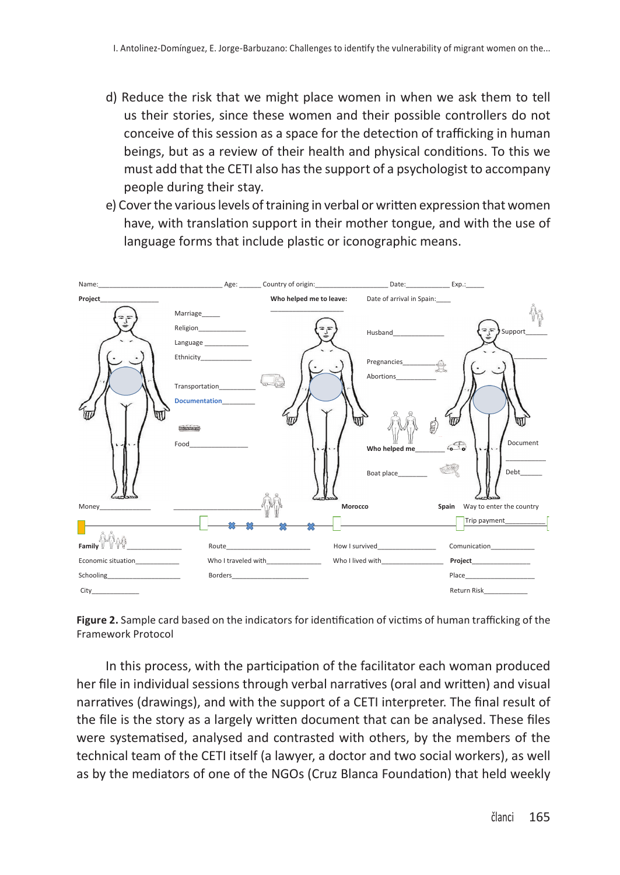- d) Reduce the risk that we might place women in when we ask them to tell us their stories, since these women and their possible controllers do not conceive of this session as a space for the detection of trafficking in human beings, but as a review of their health and physical conditions. To this we must add that the CETI also hasthe support of a psychologist to accompany people during their stay.
- e) Cover the various levels of training in verbal or written expression that women have, with translation support in their mother tongue, and with the use of language forms that include plastic or iconographic means.



**Figure 2.** Sample card based on the indicators for identification of victims of human trafficking of the Framework Protocol

In this process, with the participation of the facilitator each woman produced her file in individual sessions through verbal narratives (oral and written) and visual narratives (drawings), and with the support of a CETI interpreter. The final result of the file is the story as a largely written document that can be analysed. These files were systematised, analysed and contrasted with others, by the members of the technical team of the CETI itself (a lawyer, a doctor and two social workers), as well as by the mediators of one of the NGOs (Cruz Blanca Foundation) that held weekly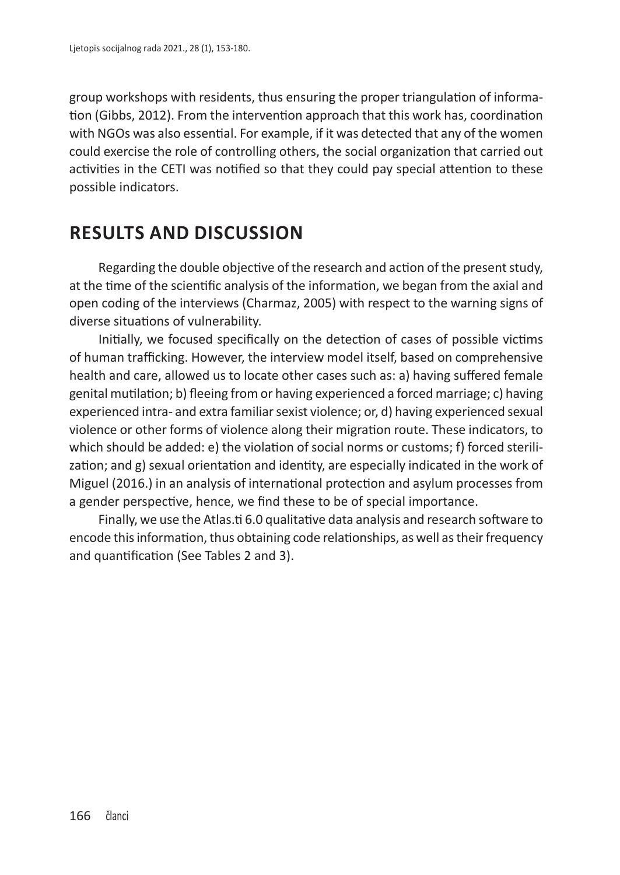group workshops with residents, thus ensuring the proper triangulation of information (Gibbs, 2012). From the intervention approach that this work has, coordination with NGOs was also essential. For example, if it was detected that any of the women could exercise the role of controlling others, the social organization that carried out activities in the CETI was notified so that they could pay special attention to these possible indicators.

#### **RESULTS AND DISCUSSION**

Regarding the double objective of the research and action of the present study, at the time of the scientific analysis of the information, we began from the axial and open coding of the interviews (Charmaz, 2005) with respect to the warning signs of diverse situations of vulnerability.

Initially, we focused specifically on the detection of cases of possible victims of human trafficking. However, the interview model itself, based on comprehensive health and care, allowed us to locate other cases such as: a) having suffered female genital mutilation; b) fleeing from or having experienced a forced marriage; c) having experienced intra- and extra familiar sexist violence; or, d) having experienced sexual violence or other forms of violence along their migration route. These indicators, to which should be added: e) the violation of social norms or customs; f) forced sterilization; and g) sexual orientation and identity, are especially indicated in the work of Miguel (2016.) in an analysis of international protection and asylum processes from a gender perspective, hence, we find these to be of special importance.

Finally, we use the Atlas.ti 6.0 qualitative data analysis and research software to encode this information, thus obtaining code relationships, as well as their frequency and quantification (See Tables 2 and 3).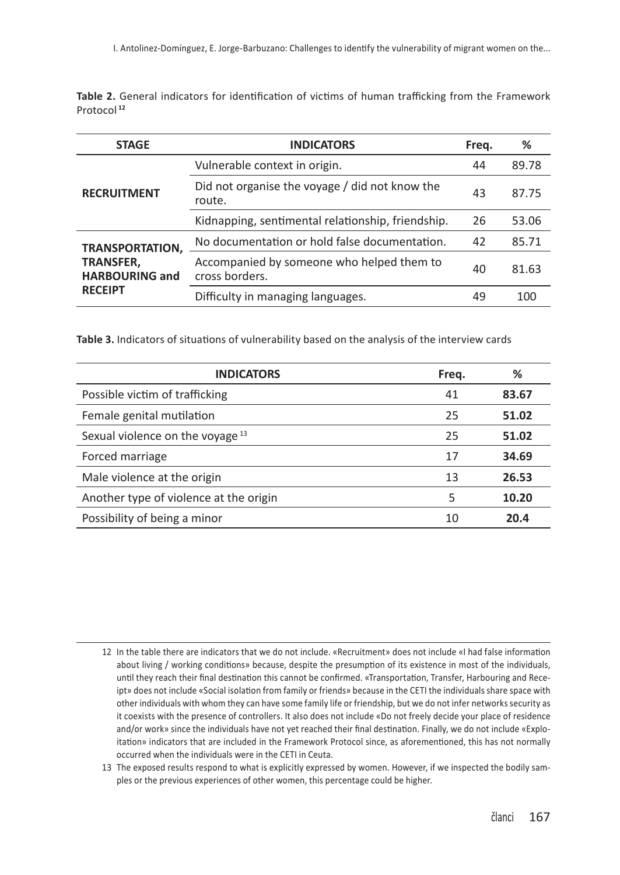**Table 2.** General indicators for identification of victims of human trafficking from the Framework Protocol**<sup>12</sup>**

| <b>STAGE</b>                                                                          | <b>INDICATORS</b>                                           |    | %     |
|---------------------------------------------------------------------------------------|-------------------------------------------------------------|----|-------|
| <b>RECRUITMENT</b>                                                                    | Vulnerable context in origin.                               |    | 89.78 |
|                                                                                       | Did not organise the voyage / did not know the<br>route.    |    | 87.75 |
|                                                                                       | Kidnapping, sentimental relationship, friendship.           | 26 | 53.06 |
| <b>TRANSPORTATION,</b><br><b>TRANSFER,</b><br><b>HARBOURING and</b><br><b>RECEIPT</b> | No documentation or hold false documentation.               | 42 | 85.71 |
|                                                                                       | Accompanied by someone who helped them to<br>cross borders. |    | 81.63 |
|                                                                                       | Difficulty in managing languages.                           | 49 | 100   |

**Table 3.** Indicators of situations of vulnerability based on the analysis of the interview cards

| <b>INDICATORS</b>                           | Freg. | %     |
|---------------------------------------------|-------|-------|
| Possible victim of trafficking              | 41    | 83.67 |
| Female genital mutilation                   | 25    | 51.02 |
| Sexual violence on the voyage <sup>13</sup> | 25    | 51.02 |
| Forced marriage                             | 17    | 34.69 |
| Male violence at the origin                 | 13    | 26.53 |
| Another type of violence at the origin      | 5     | 10.20 |
| Possibility of being a minor                | 10    | 20.4  |

<sup>12</sup> In the table there are indicators that we do not include. «Recruitment» does not include «I had false information about living / working conditions» because, despite the presumption of its existence in most of the individuals, until they reach their final destination this cannot be confirmed. «Transportation, Transfer, Harbouring and Receipt» does not include «Social isolation from family or friends» because in the CETI the individuals share space with other individuals with whom they can have some family life or friendship, but we do not infer networks security as it coexists with the presence of controllers. It also does not include «Do not freely decide your place of residence and/or work» since the individuals have not yet reached their final destination. Finally, we do not include «Exploitation» indicators that are included in the Framework Protocol since, as aforementioned, this has not normally occurred when the individuals were in the CETI in Ceuta.

<sup>13</sup> The exposed results respond to what is explicitly expressed by women. However, if we inspected the bodily samples or the previous experiences of other women, this percentage could be higher.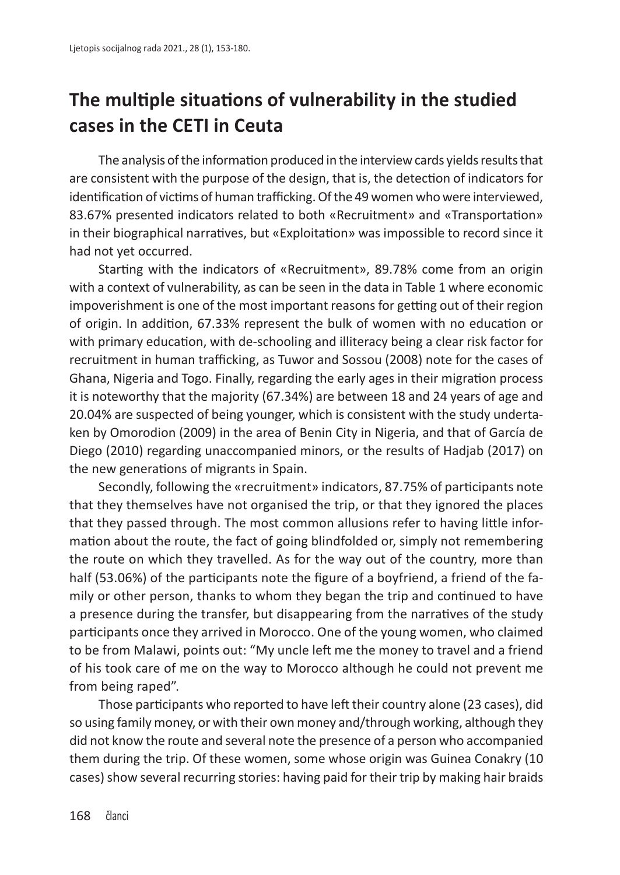# **The multiple situations of vulnerability in the studied cases in the CETI in Ceuta**

The analysis of the information produced in the interview cards yields results that are consistent with the purpose of the design, that is, the detection of indicators for identification of victims of human trafficking. Of the 49 women who were interviewed, 83.67% presented indicators related to both «Recruitment» and «Transportation» in their biographical narratives, but «Exploitation» was impossible to record since it had not yet occurred.

Starting with the indicators of «Recruitment», 89.78% come from an origin with a context of vulnerability, as can be seen in the data in Table 1 where economic impoverishment is one of the most important reasonsfor getting out of their region of origin. In addition, 67.33% represent the bulk of women with no education or with primary education, with de-schooling and illiteracy being a clear risk factor for recruitment in human trafficking, as Tuwor and Sossou (2008) note for the cases of Ghana, Nigeria and Togo. Finally, regarding the early ages in their migration process it is noteworthy that the majority (67.34%) are between 18 and 24 years of age and 20.04% are suspected of being younger, which is consistent with the study undertaken by Omorodion (2009) in the area of Benin City in Nigeria, and that of García de Diego (2010) regarding unaccompanied minors, or the results of Hadjab (2017) on the new generations of migrants in Spain.

Secondly, following the «recruitment» indicators, 87.75% of participants note that they themselves have not organised the trip, or that they ignored the places that they passed through. The most common allusions refer to having little information about the route, the fact of going blindfolded or, simply not remembering the route on which they travelled. As for the way out of the country, more than half (53.06%) of the participants note the figure of a boyfriend, a friend of the family or other person, thanks to whom they began the trip and continued to have a presence during the transfer, but disappearing from the narratives of the study participants once they arrived in Morocco. One of the young women, who claimed to be from Malawi, points out: "My uncle left me the money to travel and a friend of his took care of me on the way to Morocco although he could not prevent me from being raped".

Those participants who reported to have left their country alone (23 cases), did so using family money, or with their own money and/through working, although they did not know the route and several note the presence of a person who accompanied them during the trip. Of these women, some whose origin was Guinea Conakry (10 cases) show several recurring stories: having paid for their trip by making hair braids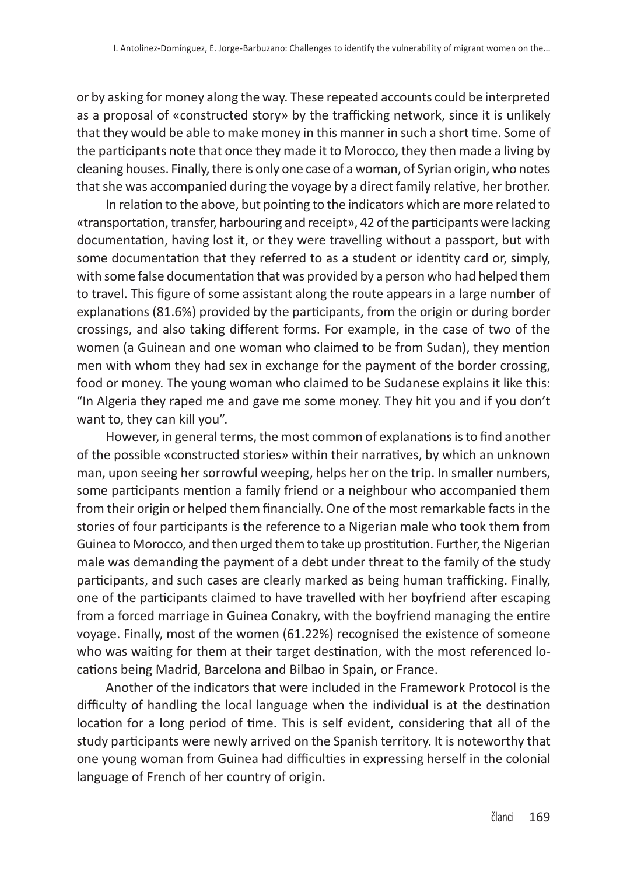or by asking for money along the way. These repeated accounts could be interpreted as a proposal of «constructed story» by the trafficking network, since it is unlikely that they would be able to make money in this manner in such a short time. Some of the participants note that once they made it to Morocco, they then made a living by cleaning houses. Finally, there is only one case of a woman, of Syrian origin, who notes that she was accompanied during the voyage by a direct family relative, her brother.

In relation to the above, but pointing to the indicators which are more related to «transportation, transfer, harbouring and receipt», 42 of the participants were lacking documentation, having lost it, or they were travelling without a passport, but with some documentation that they referred to as a student or identity card or, simply, with some false documentation that was provided by a person who had helped them to travel. This figure of some assistant along the route appears in a large number of explanations (81.6%) provided by the participants, from the origin or during border crossings, and also taking different forms. For example, in the case of two of the women (a Guinean and one woman who claimed to be from Sudan), they mention men with whom they had sex in exchange for the payment of the border crossing, food or money. The young woman who claimed to be Sudanese explains it like this: "In Algeria they raped me and gave me some money. They hit you and if you don't want to, they can kill you".

However, in general terms, the most common of explanations is to find another of the possible «constructed stories» within their narratives, by which an unknown man, upon seeing her sorrowful weeping, helps her on the trip. In smaller numbers, some participants mention a family friend or a neighbour who accompanied them from their origin or helped them financially. One of the most remarkable factsin the stories of four participants is the reference to a Nigerian male who took them from Guinea to Morocco, and then urged them to take up prostitution. Further, the Nigerian male was demanding the payment of a debt under threat to the family of the study participants, and such cases are clearly marked as being human trafficking. Finally, one of the participants claimed to have travelled with her boyfriend after escaping from a forced marriage in Guinea Conakry, with the boyfriend managing the entire voyage. Finally, most of the women (61.22%) recognised the existence of someone who was waiting for them at their target destination, with the most referenced locations being Madrid, Barcelona and Bilbao in Spain, or France.

Another of the indicators that were included in the Framework Protocol is the difficulty of handling the local language when the individual is at the destination location for a long period of time. This is self evident, considering that all of the study participants were newly arrived on the Spanish territory. It is noteworthy that one young woman from Guinea had difficulties in expressing herself in the colonial language of French of her country of origin.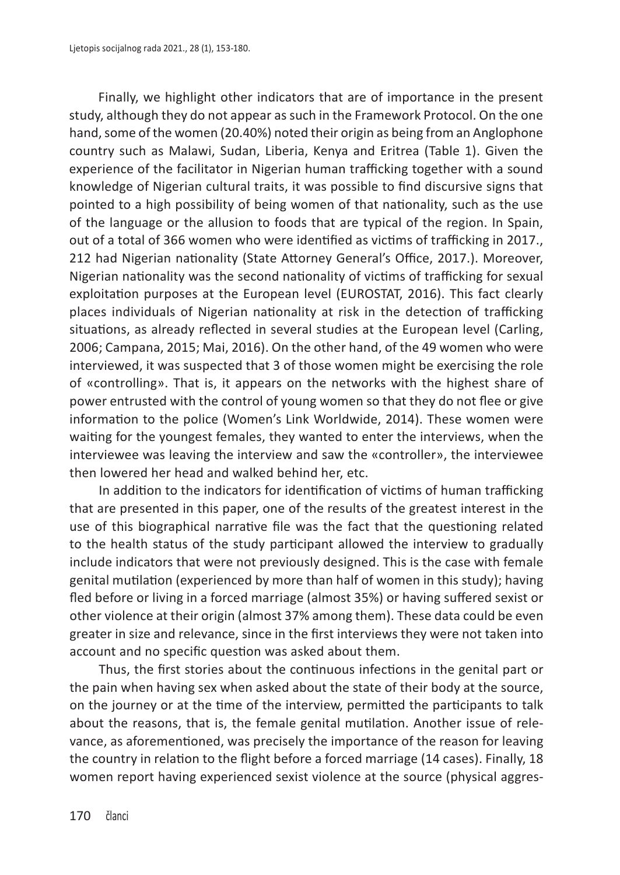Finally, we highlight other indicators that are of importance in the present study, although they do not appear as such in the Framework Protocol. On the one hand, some of the women (20.40%) noted their origin as being from an Anglophone country such as Malawi, Sudan, Liberia, Kenya and Eritrea (Table 1). Given the experience of the facilitator in Nigerian human trafficking together with a sound knowledge of Nigerian cultural traits, it was possible to find discursive signs that pointed to a high possibility of being women of that nationality, such as the use of the language or the allusion to foods that are typical of the region. In Spain, out of a total of 366 women who were identified as victims of trafficking in 2017., 212 had Nigerian nationality (State Attorney General's Office, 2017.). Moreover, Nigerian nationality was the second nationality of victims of trafficking for sexual exploitation purposes at the European level (EUROSTAT, 2016). This fact clearly places individuals of Nigerian nationality at risk in the detection of trafficking situations, as already reflected in several studies at the European level (Carling, 2006; Campana, 2015; Mai, 2016). On the other hand, of the 49 women who were interviewed, it was suspected that 3 of those women might be exercising the role of «controlling». That is, it appears on the networks with the highest share of power entrusted with the control of young women so that they do not flee or give information to the police (Women's Link Worldwide, 2014). These women were waiting for the youngest females, they wanted to enter the interviews, when the interviewee was leaving the interview and saw the «controller», the interviewee then lowered her head and walked behind her, etc.

In addition to the indicators for identification of victims of human trafficking that are presented in this paper, one of the results of the greatest interest in the use of this biographical narrative file was the fact that the questioning related to the health status of the study participant allowed the interview to gradually include indicators that were not previously designed. This is the case with female genital mutilation (experienced by more than half of women in this study); having fled before or living in a forced marriage (almost 35%) or having suffered sexist or other violence at their origin (almost 37% among them). These data could be even greater in size and relevance, since in the first interviews they were not taken into account and no specific question was asked about them.

Thus, the first stories about the continuous infections in the genital part or the pain when having sex when asked about the state of their body at the source, on the journey or at the time of the interview, permitted the participants to talk about the reasons, that is, the female genital mutilation. Another issue of relevance, as aforementioned, was precisely the importance of the reason for leaving the country in relation to the flight before a forced marriage (14 cases). Finally, 18 women report having experienced sexist violence at the source (physical aggres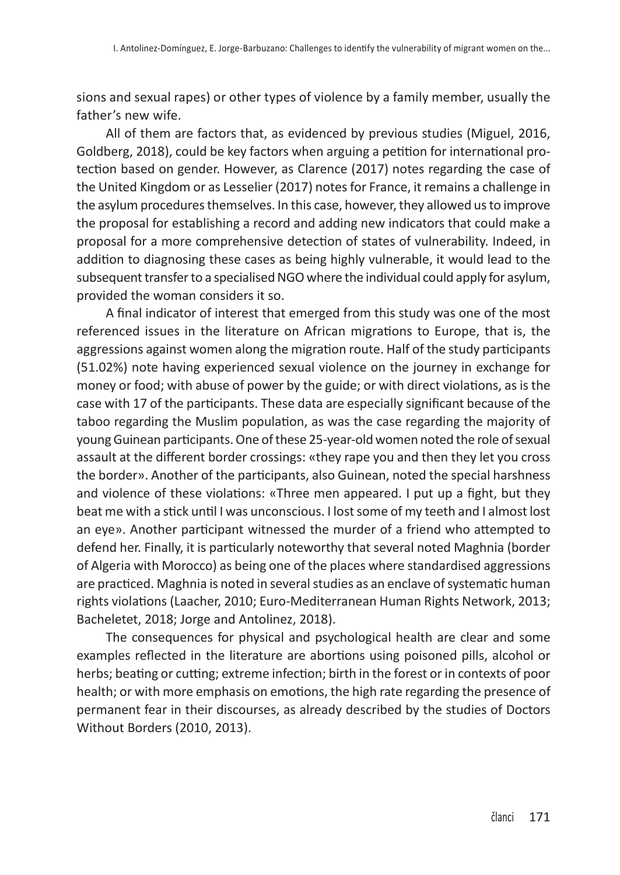sions and sexual rapes) or other types of violence by a family member, usually the father's new wife.

All of them are factors that, as evidenced by previous studies (Miguel, 2016, Goldberg, 2018), could be key factors when arguing a petition for international protection based on gender. However, as Clarence (2017) notes regarding the case of the United Kingdom or as Lesselier (2017) notesfor France, it remains a challenge in the asylum procedures themselves. In this case, however, they allowed us to improve the proposal for establishing a record and adding new indicators that could make a proposal for a more comprehensive detection of states of vulnerability. Indeed, in addition to diagnosing these cases as being highly vulnerable, it would lead to the subsequent transfer to a specialised NGO where the individual could apply for asylum, provided the woman considers it so.

A final indicator of interest that emerged from this study was one of the most referenced issues in the literature on African migrations to Europe, that is, the aggressions against women along the migration route. Half of the study participants (51.02%) note having experienced sexual violence on the journey in exchange for money or food; with abuse of power by the guide; or with direct violations, as is the case with 17 of the participants. These data are especially significant because of the taboo regarding the Muslim population, as was the case regarding the majority of young Guinean participants. One of these 25-year-old women noted the role of sexual assault at the different border crossings: «they rape you and then they let you cross the border». Another of the participants, also Guinean, noted the special harshness and violence of these violations: «Three men appeared. I put up a fight, but they beat me with a stick until I was unconscious. I lost some of my teeth and I almost lost an eye». Another participant witnessed the murder of a friend who attempted to defend her. Finally, it is particularly noteworthy that several noted Maghnia (border of Algeria with Morocco) as being one of the places where standardised aggressions are practiced. Maghnia is noted in several studies as an enclave of systematic human rights violations (Laacher, 2010; Euro-Mediterranean Human Rights Network, 2013; Bacheletet, 2018; Jorge and Antolinez, 2018).

The consequences for physical and psychological health are clear and some examples reflected in the literature are abortions using poisoned pills, alcohol or herbs; beating or cutting; extreme infection; birth in the forest or in contexts of poor health; or with more emphasis on emotions, the high rate regarding the presence of permanent fear in their discourses, as already described by the studies of Doctors Without Borders (2010, 2013).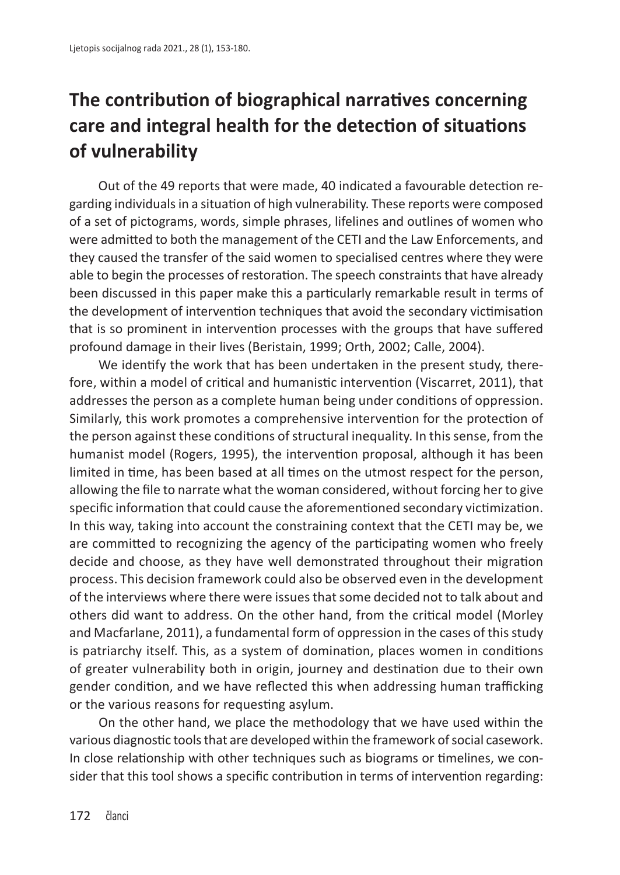# **The contribution of biographical narratives concerning care and integral health for the detection of situations of vulnerability**

Out of the 49 reports that were made, 40 indicated a favourable detection regarding individualsin a situation of high vulnerability. These reports were composed of a set of pictograms, words, simple phrases, lifelines and outlines of women who were admitted to both the management of the CETI and the Law Enforcements, and they caused the transfer of the said women to specialised centres where they were able to begin the processes of restoration. The speech constraints that have already been discussed in this paper make this a particularly remarkable result in terms of the development of intervention techniques that avoid the secondary victimisation that is so prominent in intervention processes with the groups that have suffered profound damage in their lives (Beristain, 1999; Orth, 2002; Calle, 2004).

We identify the work that has been undertaken in the present study, therefore, within a model of critical and humanistic intervention (Viscarret, 2011), that addresses the person as a complete human being under conditions of oppression. Similarly, this work promotes a comprehensive intervention for the protection of the person against these conditions of structural inequality. In this sense, from the humanist model (Rogers, 1995), the intervention proposal, although it has been limited in time, has been based at all times on the utmost respect for the person, allowing the file to narrate what the woman considered, without forcing her to give specific information that could cause the aforementioned secondary victimization. In this way, taking into account the constraining context that the CETI may be, we are committed to recognizing the agency of the participating women who freely decide and choose, as they have well demonstrated throughout their migration process. This decision framework could also be observed even in the development of the interviews where there were issuesthatsome decided not to talk about and others did want to address. On the other hand, from the critical model (Morley and Macfarlane, 2011), a fundamental form of oppression in the cases of this study is patriarchy itself. This, as a system of domination, places women in conditions of greater vulnerability both in origin, journey and destination due to their own gender condition, and we have reflected this when addressing human trafficking or the various reasons for requesting asylum.

On the other hand, we place the methodology that we have used within the various diagnostic tools that are developed within the framework of social casework. In close relationship with other techniques such as biograms or timelines, we consider that this tool shows a specific contribution in terms of intervention regarding: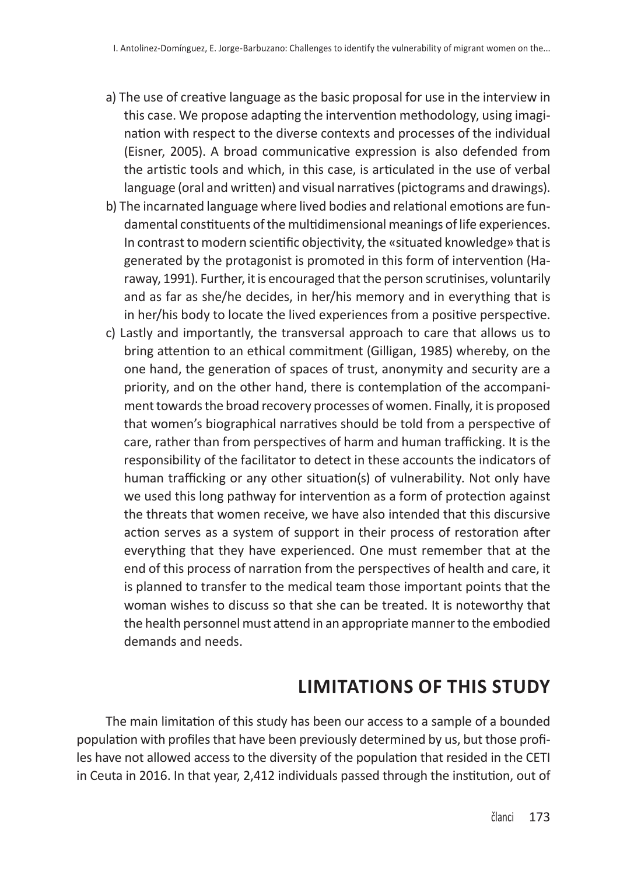- a) The use of creative language as the basic proposal for use in the interview in this case. We propose adapting the intervention methodology, using imagination with respect to the diverse contexts and processes of the individual (Eisner, 2005). A broad communicative expression is also defended from the artistic tools and which, in this case, is articulated in the use of verbal language (oral and written) and visual narratives(pictograms and drawings).
- b) The incarnated language where lived bodies and relational emotions are fundamental constituents of the multidimensional meanings of life experiences. In contrast to modern scientific objectivity, the «situated knowledge» that is generated by the protagonist is promoted in this form of intervention (Haraway, 1991). Further, it is encouraged that the person scrutinises, voluntarily and as far as she/he decides, in her/his memory and in everything that is in her/his body to locate the lived experiences from a positive perspective.
- c) Lastly and importantly, the transversal approach to care that allows us to bring attention to an ethical commitment (Gilligan, 1985) whereby, on the one hand, the generation of spaces of trust, anonymity and security are a priority, and on the other hand, there is contemplation of the accompaniment towards the broad recovery processes of women. Finally, it is proposed that women's biographical narratives should be told from a perspective of care, rather than from perspectives of harm and human trafficking. It is the responsibility of the facilitator to detect in these accounts the indicators of human trafficking or any other situation(s) of vulnerability. Not only have we used this long pathway for intervention as a form of protection against the threats that women receive, we have also intended that this discursive action serves as a system of support in their process of restoration after everything that they have experienced. One must remember that at the end of this process of narration from the perspectives of health and care, it is planned to transfer to the medical team those important points that the woman wishes to discuss so that she can be treated. It is noteworthy that the health personnel must attend in an appropriate manner to the embodied demands and needs.

#### **LIMITATIONS OF THIS STUDY**

The main limitation of this study has been our access to a sample of a bounded population with profiles that have been previously determined by us, but those profiles have not allowed access to the diversity of the population that resided in the CETI in Ceuta in 2016. In that year, 2,412 individuals passed through the institution, out of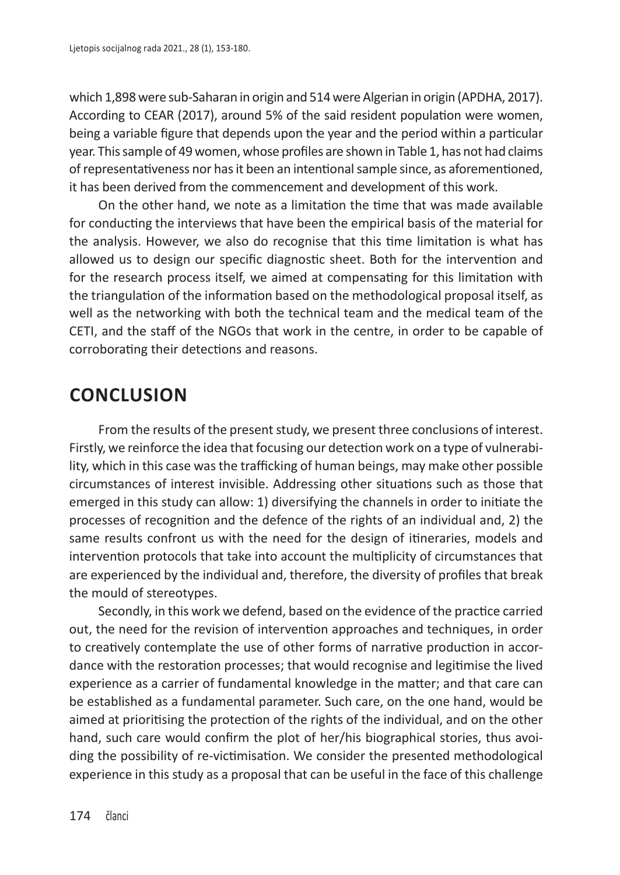which 1,898 were sub-Saharan in origin and 514 were Algerian in origin (APDHA, 2017). According to CEAR (2017), around 5% of the said resident population were women, being a variable figure that depends upon the year and the period within a particular year. Thissample of 49 women, whose profiles are shown in Table 1, has not had claims of representativeness nor has it been an intentional sample since, as aforementioned, it has been derived from the commencement and development of this work.

On the other hand, we note as a limitation the time that was made available for conducting the interviews that have been the empirical basis of the material for the analysis. However, we also do recognise that this time limitation is what has allowed us to design our specific diagnostic sheet. Both for the intervention and for the research process itself, we aimed at compensating for this limitation with the triangulation of the information based on the methodological proposal itself, as well as the networking with both the technical team and the medical team of the CETI, and the staff of the NGOs that work in the centre, in order to be capable of corroborating their detections and reasons.

#### **CONCLUSION**

From the results of the present study, we present three conclusions of interest. Firstly, we reinforce the idea that focusing our detection work on a type of vulnerability, which in this case wasthe trafficking of human beings, may make other possible circumstances of interest invisible. Addressing other situations such as those that emerged in this study can allow: 1) diversifying the channels in order to initiate the processes of recognition and the defence of the rights of an individual and, 2) the same results confront us with the need for the design of itineraries, models and intervention protocols that take into account the multiplicity of circumstances that are experienced by the individual and, therefore, the diversity of profiles that break the mould of stereotypes.

Secondly, in this work we defend, based on the evidence of the practice carried out, the need for the revision of intervention approaches and techniques, in order to creatively contemplate the use of other forms of narrative production in accordance with the restoration processes; that would recognise and legitimise the lived experience as a carrier of fundamental knowledge in the matter; and that care can be established as a fundamental parameter. Such care, on the one hand, would be aimed at prioritising the protection of the rights of the individual, and on the other hand, such care would confirm the plot of her/his biographical stories, thus avoiding the possibility of re-victimisation. We consider the presented methodological experience in this study as a proposal that can be useful in the face of this challenge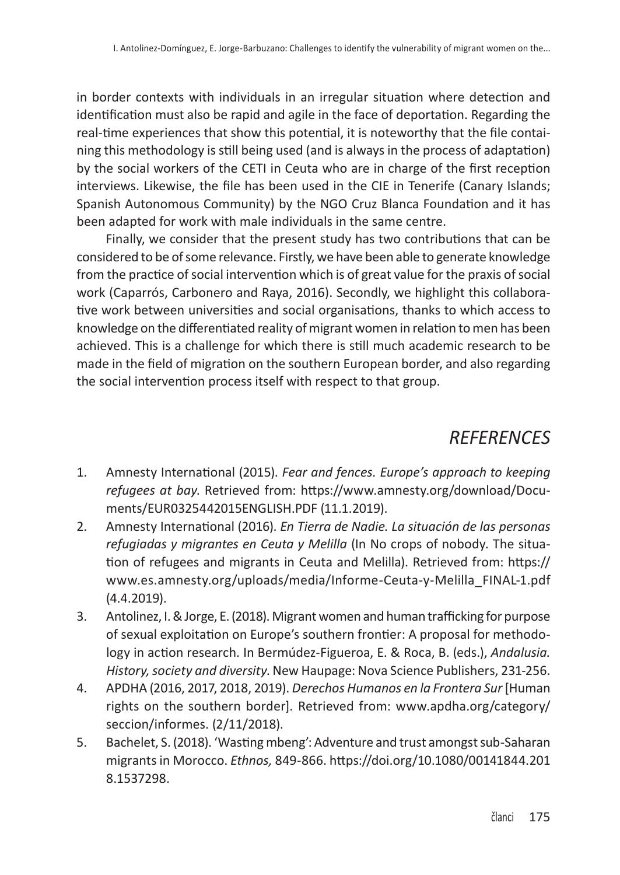in border contexts with individuals in an irregular situation where detection and identification must also be rapid and agile in the face of deportation. Regarding the real-time experiences that show this potential, it is noteworthy that the file containing this methodology is still being used (and is always in the process of adaptation) by the social workers of the CETI in Ceuta who are in charge of the first reception interviews. Likewise, the file has been used in the CIE in Tenerife (Canary Islands; Spanish Autonomous Community) by the NGO Cruz Blanca Foundation and it has been adapted for work with male individuals in the same centre.

Finally, we consider that the present study has two contributions that can be considered to be of some relevance. Firstly, we have been able to generate knowledge from the practice of social intervention which is of great value for the praxis of social work (Caparrós, Carbonero and Raya, 2016). Secondly, we highlight this collaborative work between universities and social organisations, thanks to which access to knowledge on the differentiated reality of migrant women in relation to men has been achieved. This is a challenge for which there is still much academic research to be made in the field of migration on the southern European border, and also regarding the social intervention process itself with respect to that group.

#### *REFERENCES*

- 1. Amnesty International (2015). *Fear and fences. Europe's approach to keeping refugees at bay*. Retrieved from: [https://www.amnesty.org/download/Docu](https://www.amnesty.org/download/Documents/EUR0325442015ENGLISH.PDF)[ments/EUR0325442015ENGLISH.PDF](https://www.amnesty.org/download/Documents/EUR0325442015ENGLISH.PDF) (11.1.2019).
- 2. Amnesty International (2016). *En Tierra de Nadie. La situación de las personas refugiadas y migrantes en Ceuta y Melilla* (In No crops of nobody. The situation of refugees and migrants in Ceuta and Melilla). Retrieved from: [https://](https://www.es.amnesty.org/uploads/media/Informe-Ceuta-y-Melilla_FINAL-1.pdf) [www.es.amnesty.org/uploads/media/Informe-Ceuta-y-Melilla\\_FINAL-1.pdf](https://www.es.amnesty.org/uploads/media/Informe-Ceuta-y-Melilla_FINAL-1.pdf) (4.4.2019).
- 3. Antolinez, I.&Jorge, E.(2018).Migrantwomen and human trafficking for purpose of sexual exploitation on Europe's southern frontier: A proposal for methodology in action research. In Bermúdez-Figueroa, E. & Roca, B. (eds.), *Andalusia. History, society and diversity*. New Haupage: Nova Science Publishers, 231-256.
- 4. APDHA (2016, 2017, 2018, 2019). *Derechos Humanos en la Frontera Sur*[Human rights on the southern border]. Retrieved from: www.apdha.org/category/ seccion/informes. (2/11/2018).
- 5. Bachelet, S. (2018). 'Wasting mbeng': Adventure and trust amongst sub-Saharan migrantsin Morocco. *Ethnos,* 849-866. [https://doi.org/10.1080/00141844.201](https://doi.org/10.1080/00141844.2018.1537298) [8.1537298](https://doi.org/10.1080/00141844.2018.1537298).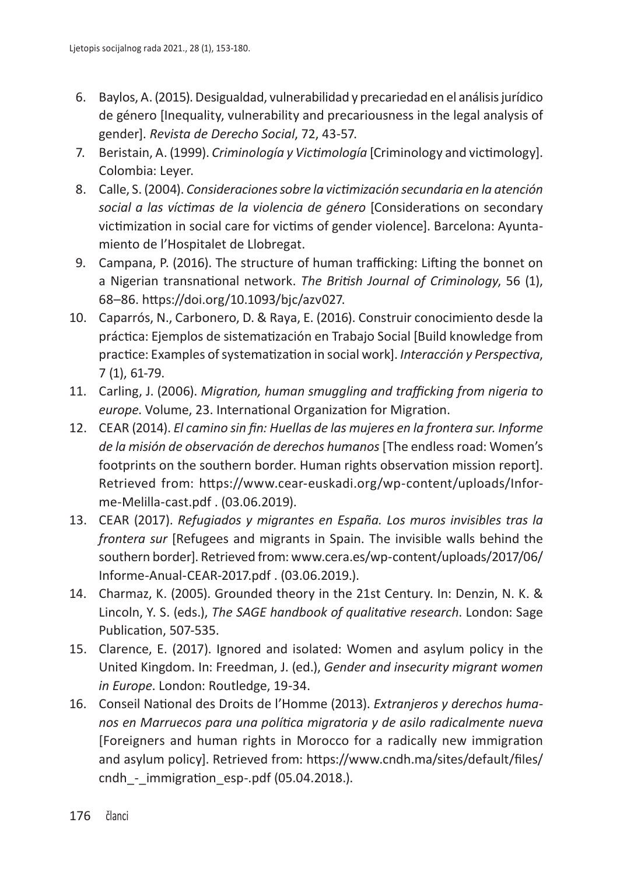- 6. Baylos, A.(2015).Desigualdad, vulnerabilidad y precariedad en el análisisjurídico de género [Inequality, vulnerability and precariousness in the legal analysis of gender]. *Revista de Derecho Social*, 72, 43-57.
- 7. Beristain, A. (1999). *Criminología y Victimología* [Criminology and victimology]. Colombia: Leyer.
- 8. Calle, S. (2004). *Consideraciones sobre la victimización secundaria en la atención social a las víctimas de la violencia de género* [Considerations on secondary victimization in social care for victims of gender violence]. Barcelona: Ayuntamiento de l'Hospitalet de Llobregat.
- 9. Campana, P. (2016). The structure of human trafficking: Lifting the bonnet on a Nigerian transnational network. *The British Journal of Criminology*, 56 (1), 68–86. [https://doi.org/10.1093/bjc/azv027.](https://doi.org/10.1093/bjc/azv027)
- 10. Caparrós, N., Carbonero, D. & Raya, E. (2016). Construir conocimiento desde la práctica: Ejemplos de sistematización en Trabajo Social [Build knowledge from practice: Examples of systematization in social work]. *Interacción y Perspectiva*, 7 (1), 61-79.
- 11. Carling, J. (2006). *Migration, human smuggling and trafficking from nigeria to europe*. Volume, 23. International Organization for Migration.
- 12. CEAR (2014). *El camino sin fin: Huellas de las mujeres en la frontera sur. Informe de la misión de observación de derechos humanos*[The endlessroad: Women's footprints on the southern border. Human rights observation mission report]. Retrieved from: [https://www.cear-euskadi.org/wp-content/uploads/Infor](https://www.cear-euskadi.org/wp-content/uploads/Informe-Melilla-cast.pdf)[me-Melilla-cast.pdf](https://www.cear-euskadi.org/wp-content/uploads/Informe-Melilla-cast.pdf) . (03.06.2019).
- 13. CEAR (2017). *Refugiados y migrantes en España. Los muros invisibles tras la frontera sur* [Refugees and migrants in Spain. The invisible walls behind the southern border]. Retrieved from: [www.cera.es/wp-content/uploads/2017/06/](http://www.cera.es/wp-content/uploads/2017/06/Informe-Anual-CEAR-2017.pdf) [Informe-Anual-CEAR-2017.pdf](http://www.cera.es/wp-content/uploads/2017/06/Informe-Anual-CEAR-2017.pdf) . (03.06.2019.).
- 14. Charmaz, K. (2005). Grounded theory in the 21st Century. In: Denzin, N. K. & Lincoln, Y. S. (eds.), *The SAGE handbook of qualitative research*. London: Sage Publication, 507-535.
- 15. Clarence, E. (2017). Ignored and isolated: Women and asylum policy in the United Kingdom. In: Freedman, J. (ed.), *Gender and insecurity migrant women in Europe*. London: Routledge, 19-34.
- 16. Conseil National des Droits de l'Homme (2013). *Extranjeros y derechos humanos en Marruecos para una política migratoria y de asilo radicalmente nueva* [Foreigners and human rights in Morocco for a radically new immigration and asylum policy]. Retrieved from: [https://www.cndh.ma/sites/default/files/](https://www.cndh.ma/sites/default/files/cndh_-_immigration_esp-.pdf) [cndh\\_-\\_immigration\\_esp-.pdf](https://www.cndh.ma/sites/default/files/cndh_-_immigration_esp-.pdf) (05.04.2018.).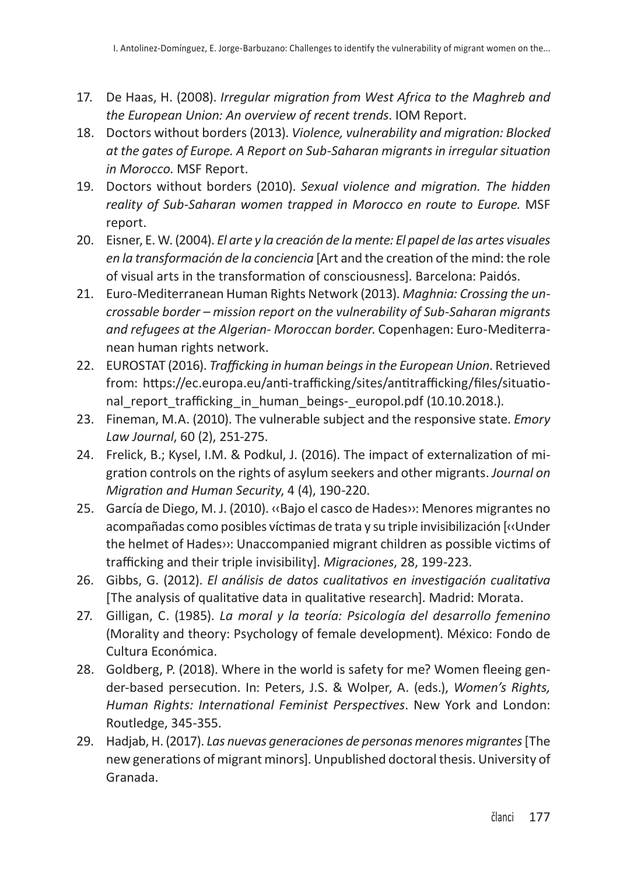- 17. De Haas, H. (2008). *Irregular migration from West Africa to the Maghreb and the European Union: An overview of recent trends*. IOM Report.
- 18. Doctors without borders(2013). *Violence, vulnerability and migration: Blocked at the gates of Europe. A Report on Sub-Saharan migrants in irregular situation in Morocco*. MSF Report.
- 19. Doctors without borders (2010). *Sexual violence and migration. The hidden reality of Sub-Saharan women trapped in Morocco en route to Europe.* MSF report.
- 20. Eisner, E. W. (2004). *El arte y la creación de la mente: El papel de las artes visuales*  en la transformación de la conciencia [Art and the creation of the mind: the role of visual arts in the transformation of consciousness]. Barcelona: Paidós.
- 21. Euro-Mediterranean Human Rights Network (2013). *Maghnia: Crossing the uncrossable border – mission report on the vulnerability of Sub-Saharan migrants and refugees at the Algerian- Moroccan border*. Copenhagen: Euro-Mediterranean human rights network.
- 22. EUROSTAT (2016). *Trafficking in human beings in the European Union*. Retrieved from: [https://ec.europa.eu/anti-trafficking/sites/antitrafficking/files/situatio](https://ec.europa.eu/anti-trafficking/sites/antitrafficking/files/situational_report_trafficking_in_human_beings-_europol.pdf)nal report trafficking in human beings- europol.pdf (10.10.2018.).
- 23. Fineman, M.A. (2010). The vulnerable subject and the responsive state. *Emory Law Journal*, 60 (2), 251-275.
- 24. Frelick, B.; Kysel, I.M. & Podkul, J. (2016). The impact of externalization of migration controls on the rights of asylum seekers and other migrants. *Journal on Migration and Human Security*, 4 (4), 190-220.
- 25. García de Diego, M. J. (2010). «Bajo el casco de Hades»: Menores migrantes no acompañadas como posibles víctimas de trata y su triple invisibilización [‹‹Under the helmet of Hades››: Unaccompanied migrant children as possible victims of trafficking and their triple invisibility]. *Migraciones*, 28, 199-223.
- 26. Gibbs, G. (2012). *El análisis de datos cualitativos en investigación cualitativa* [The analysis of qualitative data in qualitative research]. Madrid: Morata.
- 27. Gilligan, C. (1985). *La moral y la teoría: Psicología del desarrollo femenino* (Morality and theory: Psychology of female development). México: Fondo de Cultura Económica.
- 28. Goldberg, P. (2018). Where in the world is safety for me? Women fleeing gender-based persecution. In: Peters, J.S. & Wolper, A. (eds.), *Women's Rights, Human Rights: International Feminist Perspectives*. New York and London: Routledge, 345-355.
- 29. Hadjab,H. (2017). *Las nuevas generaciones de personas menores migrantes* [The new generations of migrant minors]. Unpublished doctoral thesis. University of Granada.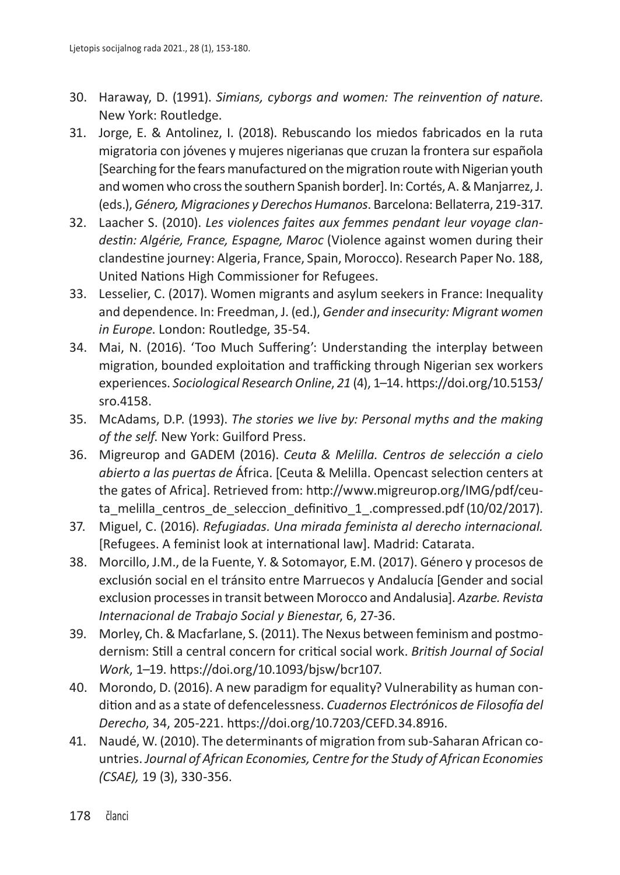- 30. Haraway, D. (1991). *Simians, cyborgs and women: The reinvention of nature*. New York: Routledge.
- 31. Jorge, E. & Antolinez, I. (2018). Rebuscando los miedos fabricados en la ruta migratoria con jóvenes y mujeres nigerianas que cruzan la frontera sur española [Searching for the fears manufactured on the migration route with Nigerian youth and women who cross the southern Spanish border]. In: Cortés, A. & Manjarrez, J. (eds.),*Género, Migraciones y Derechos Humanos*. Barcelona: Bellaterra, 219-317.
- 32. Laacher S. (2010). *Les violences faites aux femmes pendant leur voyage clandestin: Algérie, France, Espagne, Maroc* (Violence against women during their clandestine journey: Algeria, France, Spain, Morocco). Research Paper No. 188, United Nations High Commissioner for Refugees.
- 33. Lesselier, C. (2017). Women migrants and asylum seekers in France: Inequality and dependence. In: Freedman, J. (ed.), *Gender and insecurity: Migrant women in Europe*. London: Routledge, 35-54.
- 34. Mai, N. (2016). 'Too Much Suffering': Understanding the interplay between migration, bounded exploitation and trafficking through Nigerian sex workers experiences. *Sociological Research Online*, *21* (4), 1–14. [https://doi.org/10.5153/](https://doi.org/10.5153/sro.4158) [sro.4158](https://doi.org/10.5153/sro.4158).
- 35. McAdams, D.P. (1993). *The stories we live by: Personal myths and the making of the self*. New York: Guilford Press.
- 36. Migreurop and GADEM (2016). *Ceuta & Melilla. Centros de selección a cielo abierto a las puertas de* África. [Ceuta & Melilla. Opencast selection centers at the gates of Africa]. Retrieved from: [http://www.migreurop.org/IMG/pdf/ceu](http://www.migreurop.org/IMG/pdf/ceuta_melilla_centros_de_seleccion_definitivo_1_.compressed.pdf)ta melilla centros de seleccion definitivo 1 .compressed.pdf (10/02/2017).
- 37. Miguel, C. (2016). *Refugiadas. Una mirada feminista al derecho internacional.*  [Refugees. A feminist look at international law]. Madrid: Catarata.
- 38. Morcillo, J.M., de la Fuente, Y. & Sotomayor, E.M. (2017). Género y procesos de exclusión social en el tránsito entre Marruecos y Andalucía [Gender and social exclusion processesin transit between Morocco and Andalusia]. *Azarbe. Revista Internacional de Trabajo Social y Bienestar*, 6, 27-36.
- 39. Morley, Ch. & Macfarlane, S. (2011). The Nexus between feminism and postmodernism: Still a central concern for critical social work. *British Journal of Social Work*, 1–19. <https://doi.org/10.1093/bjsw/bcr107>.
- 40. Morondo, D. (2016). A new paradigm for equality? Vulnerability as human condition and as a state of defencelessness. *Cuadernos Electrónicos de Filosofía del Derecho*, 34, 205-221. <https://doi.org/10.7203/CEFD.34.8916>.
- 41. Naudé, W. (2010). The determinants of migration from sub-Saharan African countries. *Journal of African Economies, Centre for the Study of African Economies (CSAE),* 19 (3), 330-356.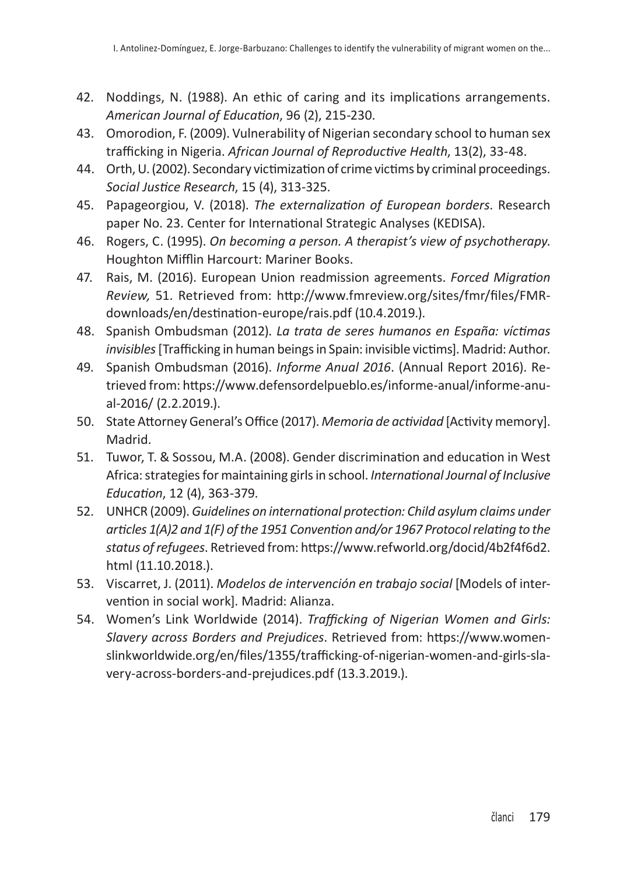- 42. Noddings, N. (1988). An ethic of caring and its implications arrangements. *American Journal of Education*, 96 (2), 215-230.
- 43. Omorodion, F. (2009). Vulnerability of Nigerian secondary school to human sex trafficking in Nigeria. *African Journal of Reproductive Health*, 13(2), 33-48.
- 44. Orth, U. (2002). Secondary victimization of crime victims by criminal proceedings. *Social Justice Research*, 15 (4), 313-325.
- 45. Papageorgiou, V. (2018). *The externalization of European borders*. Research paper No. 23. Center for International Strategic Analyses (KEDISA).
- 46. Rogers, C. (1995). *On becoming a person. A therapist's view of psychotherapy*. Houghton Mifflin Harcourt: Mariner Books.
- 47. Rais, M. (2016). European Union readmission agreements. *Forced Migration Review,* 51. Retrieved from: [http://www.fmreview.org/sites/fmr/files/FMR](http://www.fmreview.org/sites/fmr/files/FMRdownloads/en/destination-europe/rais.pdf)[downloads/en/destination-europe/rais.pdf](http://www.fmreview.org/sites/fmr/files/FMRdownloads/en/destination-europe/rais.pdf) (10.4.2019.).
- 48. Spanish Ombudsman (2012). *La trata de seres humanos en España: víctimas invisibles* [Trafficking in human beingsin Spain: invisible victims]. Madrid: Author.
- 49. Spanish Ombudsman (2016). *Informe Anual 2016*. (Annual Report 2016). Retrieved from: [https://www.defensordelpueblo.es/informe-anual/informe-anu](https://www.defensordelpueblo.es/informe-anual/informe-anual-2016/)[al-2016/](https://www.defensordelpueblo.es/informe-anual/informe-anual-2016/) (2.2.2019.).
- 50. State AttorneyGeneral'sOffice (2017). *Memoria de actividad* [Activitymemory]. Madrid.
- 51. Tuwor, T. & Sossou, M.A. (2008). Gender discrimination and education in West Africa: strategies for maintaining girls in school. *International Journal of Inclusive Education*, 12 (4), 363-379.
- 52. UNHCR (2009).*Guidelines on international protection: Child asylum claims under articles 1(A)2 and 1(F) of the 1951 Convention and/or 1967 Protocol relating to the status of refugees*. Retrieved from: [https://www.refworld.org/docid/4b2f4f6d2.](https://www.refworld.org/docid/4b2f4f6d2.html) [html](https://www.refworld.org/docid/4b2f4f6d2.html) (11.10.2018.).
- 53. Viscarret, J. (2011). *Modelos de intervención en trabajo social* [Models of intervention in social work]. Madrid: Alianza.
- 54. Women's Link Worldwide (2014). *Trafficking of Nigerian Women and Girls: Slavery across Borders and Prejudices*. Retrieved from: [https://www.women](https://www.womenslinkworldwide.org/en/files/1355/trafficking-of-nigerian-women-and-girls-slavery-across-borders-and-prejudices.pdf)[slinkworldwide.org/en/files/1355/trafficking-of-nigerian-women-and-girls-sla](https://www.womenslinkworldwide.org/en/files/1355/trafficking-of-nigerian-women-and-girls-slavery-across-borders-and-prejudices.pdf)[very-across-borders-and-prejudices.pdf](https://www.womenslinkworldwide.org/en/files/1355/trafficking-of-nigerian-women-and-girls-slavery-across-borders-and-prejudices.pdf) (13.3.2019.).